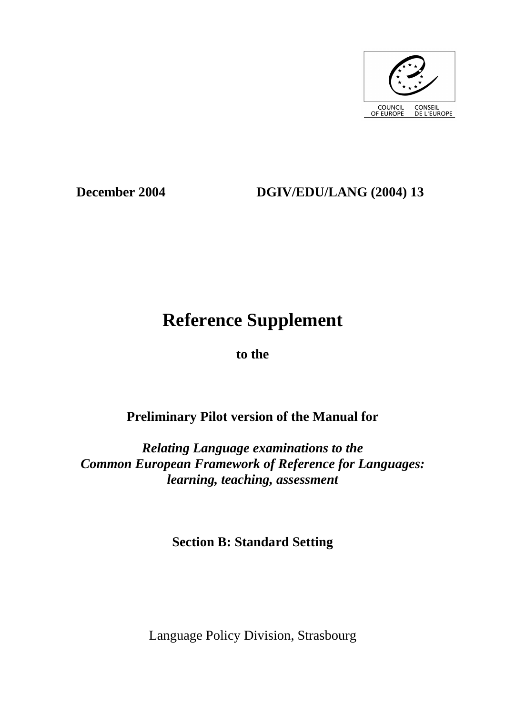

## **December 2004 DGIV/EDU/LANG (2004) 13**

# **Reference Supplement**

**to the** 

## **Preliminary Pilot version of the Manual for**

*Relating Language examinations to the Common European Framework of Reference for Languages: learning, teaching, assessment* 

**Section B: Standard Setting** 

Language Policy Division, Strasbourg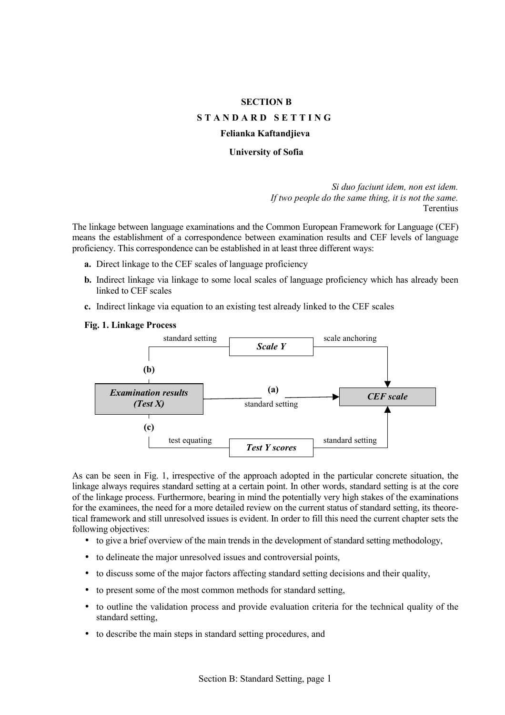#### **SECTION B**

#### **STANDARD SETTING**

#### **Felianka Kaftandjieva**

#### **University of Sofia**

*Si duo faciunt idem, non est idem. If two people do the same thing, it is not the same.*  Terentius

The linkage between language examinations and the Common European Framework for Language (CEF) means the establishment of a correspondence between examination results and CEF levels of language proficiency. This correspondence can be established in at least three different ways:

- **a.** Direct linkage to the CEF scales of language proficiency
- **b.** Indirect linkage via linkage to some local scales of language proficiency which has already been linked to CEF scales
- **c.** Indirect linkage via equation to an existing test already linked to the CEF scales

#### **Fig. 1. Linkage Process**



As can be seen in Fig. 1, irrespective of the approach adopted in the particular concrete situation, the linkage always requires standard setting at a certain point. In other words, standard setting is at the core of the linkage process. Furthermore, bearing in mind the potentially very high stakes of the examinations for the examinees, the need for a more detailed review on the current status of standard setting, its theoretical framework and still unresolved issues is evident. In order to fill this need the current chapter sets the following objectives:

- to give a brief overview of the main trends in the development of standard setting methodology,
- to delineate the major unresolved issues and controversial points,
- to discuss some of the major factors affecting standard setting decisions and their quality,
- to present some of the most common methods for standard setting,
- to outline the validation process and provide evaluation criteria for the technical quality of the standard setting,
- to describe the main steps in standard setting procedures, and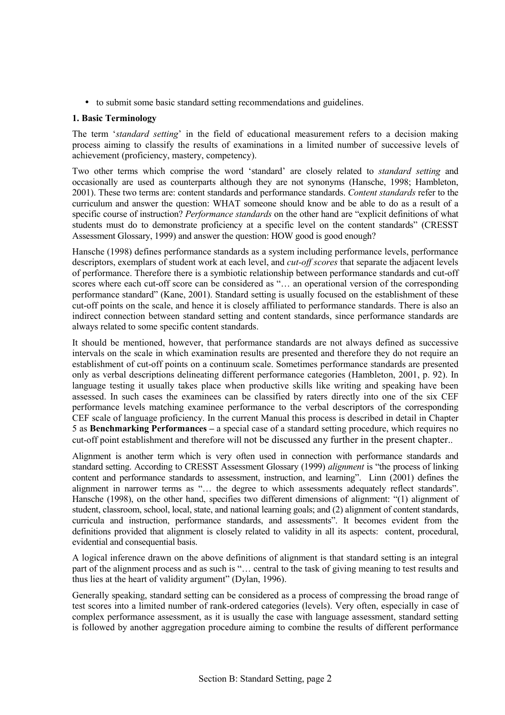• to submit some basic standard setting recommendations and guidelines.

## **1. Basic Terminology**

The term *'standard setting'* in the field of educational measurement refers to a decision making process aiming to classify the results of examinations in a limited number of successive levels of achievement (proficiency, mastery, competency).

Two other terms which comprise the word 'standard' are closely related to *standard setting* and occasionally are used as counterparts although they are not synonyms (Hansche, 1998; Hambleton, 2001). These two terms are: content standards and performance standards. *Content standards* refer to the curriculum and answer the question: WHAT someone should know and be able to do as a result of a specific course of instruction? *Performance standards* on the other hand are "explicit definitions of what students must do to demonstrate proficiency at a specific level on the content standards" (CRESST Assessment Glossary, 1999) and answer the question: HOW good is good enough?

Hansche (1998) defines performance standards as a system including performance levels, performance descriptors, exemplars of student work at each level, and *cut-off scores* that separate the adjacent levels of performance. Therefore there is a symbiotic relationship between performance standards and cut-off scores where each cut-off score can be considered as "... an operational version of the corresponding performance standard" (Kane, 2001). Standard setting is usually focused on the establishment of these cut-off points on the scale, and hence it is closely affiliated to performance standards. There is also an indirect connection between standard setting and content standards, since performance standards are always related to some specific content standards.

It should be mentioned, however, that performance standards are not always defined as successive intervals on the scale in which examination results are presented and therefore they do not require an establishment of cut-off points on a continuum scale. Sometimes performance standards are presented only as verbal descriptions delineating different performance categories (Hambleton, 2001, p. 92). In language testing it usually takes place when productive skills like writing and speaking have been assessed. In such cases the examinees can be classified by raters directly into one of the six CEF performance levels matching examinee performance to the verbal descriptors of the corresponding CEF scale of language proficiency. In the current Manual this process is described in detail in Chapter 5 as **Benchmarking Performances** – a special case of a standard setting procedure, which requires no cut-off point establishment and therefore will not be discussed any further in the present chapter..

Alignment is another term which is very often used in connection with performance standards and standard setting. According to CRESST Assessment Glossary (1999) *alignment* is "the process of linking content and performance standards to assessment, instruction, and learning". Linn (2001) defines the alignment in narrower terms as "... the degree to which assessments adequately reflect standards". Hansche (1998), on the other hand, specifies two different dimensions of alignment: "(1) alignment of student, classroom, school, local, state, and national learning goals; and (2) alignment of content standards, curricula and instruction, performance standards, and assessments". It becomes evident from the definitions provided that alignment is closely related to validity in all its aspects: content, procedural, evidential and consequential basis.

A logical inference drawn on the above definitions of alignment is that standard setting is an integral part of the alignment process and as such is "... central to the task of giving meaning to test results and thus lies at the heart of validity argument" (Dylan, 1996).

Generally speaking, standard setting can be considered as a process of compressing the broad range of test scores into a limited number of rank-ordered categories (levels). Very often, especially in case of complex performance assessment, as it is usually the case with language assessment, standard setting is followed by another aggregation procedure aiming to combine the results of different performance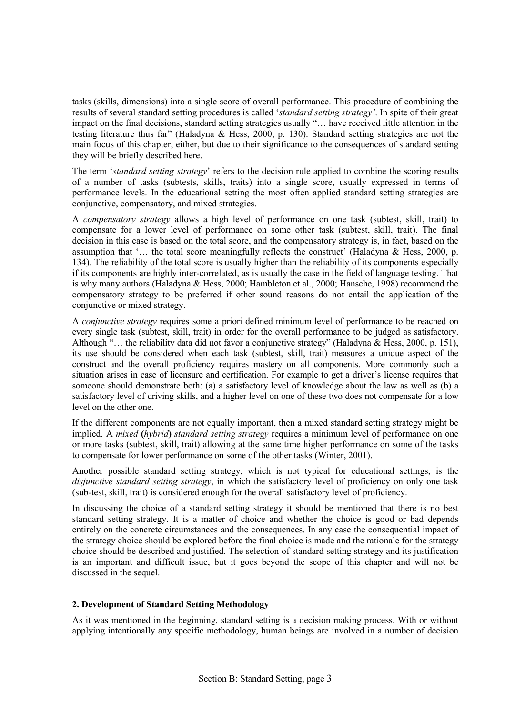tasks (skills, dimensions) into a single score of overall performance. This procedure of combining the results of several standard setting procedures is called ë*standard setting strategyí*. In spite of their great impact on the final decisions, standard setting strategies usually "... have received little attention in the testing literature thus far" (Haladyna & Hess, 2000, p. 130). Standard setting strategies are not the main focus of this chapter, either, but due to their significance to the consequences of standard setting they will be briefly described here.

The term *'standard setting strategy'* refers to the decision rule applied to combine the scoring results of a number of tasks (subtests, skills, traits) into a single score, usually expressed in terms of performance levels. In the educational setting the most often applied standard setting strategies are conjunctive, compensatory, and mixed strategies.

A *compensatory strategy* allows a high level of performance on one task (subtest, skill, trait) to compensate for a lower level of performance on some other task (subtest, skill, trait). The final decision in this case is based on the total score, and the compensatory strategy is, in fact, based on the assumption that  $\ldots$  the total score meaningfully reflects the construct (Haladyna & Hess, 2000, p. 134). The reliability of the total score is usually higher than the reliability of its components especially if its components are highly inter-correlated, as is usually the case in the field of language testing. That is why many authors (Haladyna & Hess, 2000; Hambleton et al., 2000; Hansche, 1998) recommend the compensatory strategy to be preferred if other sound reasons do not entail the application of the conjunctive or mixed strategy.

A *conjunctive strategy* requires some a priori defined minimum level of performance to be reached on every single task (subtest, skill, trait) in order for the overall performance to be judged as satisfactory. Although "... the reliability data did not favor a conjunctive strategy" (Haladyna & Hess, 2000, p. 151), its use should be considered when each task (subtest, skill, trait) measures a unique aspect of the construct and the overall proficiency requires mastery on all components. More commonly such a situation arises in case of licensure and certification. For example to get a driver's license requires that someone should demonstrate both: (a) a satisfactory level of knowledge about the law as well as (b) a satisfactory level of driving skills, and a higher level on one of these two does not compensate for a low level on the other one.

If the different components are not equally important, then a mixed standard setting strategy might be implied. A *mixed* **(***hybrid***)** *standard setting strategy* requires a minimum level of performance on one or more tasks (subtest, skill, trait) allowing at the same time higher performance on some of the tasks to compensate for lower performance on some of the other tasks (Winter, 2001).

Another possible standard setting strategy, which is not typical for educational settings, is the *disjunctive standard setting strategy*, in which the satisfactory level of proficiency on only one task (sub-test, skill, trait) is considered enough for the overall satisfactory level of proficiency.

In discussing the choice of a standard setting strategy it should be mentioned that there is no best standard setting strategy. It is a matter of choice and whether the choice is good or bad depends entirely on the concrete circumstances and the consequences. In any case the consequential impact of the strategy choice should be explored before the final choice is made and the rationale for the strategy choice should be described and justified. The selection of standard setting strategy and its justification is an important and difficult issue, but it goes beyond the scope of this chapter and will not be discussed in the sequel.

## **2. Development of Standard Setting Methodology**

As it was mentioned in the beginning, standard setting is a decision making process. With or without applying intentionally any specific methodology, human beings are involved in a number of decision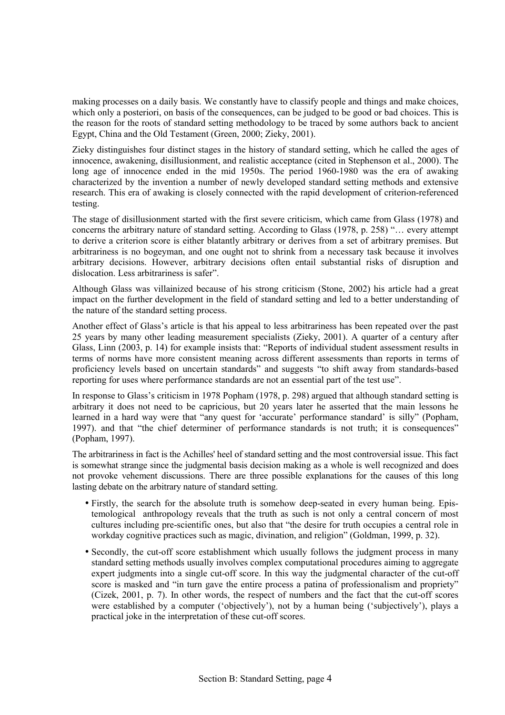making processes on a daily basis. We constantly have to classify people and things and make choices, which only a posteriori, on basis of the consequences, can be judged to be good or bad choices. This is the reason for the roots of standard setting methodology to be traced by some authors back to ancient Egypt, China and the Old Testament (Green, 2000; Zieky, 2001).

Zieky distinguishes four distinct stages in the history of standard setting, which he called the ages of innocence, awakening, disillusionment, and realistic acceptance (cited in Stephenson et al., 2000). The long age of innocence ended in the mid 1950s. The period 1960-1980 was the era of awaking characterized by the invention a number of newly developed standard setting methods and extensive research. This era of awaking is closely connected with the rapid development of criterion-referenced testing.

The stage of disillusionment started with the first severe criticism, which came from Glass (1978) and concerns the arbitrary nature of standard setting. According to Glass  $(1978, p. 258)$  " $\dots$  every attempt to derive a criterion score is either blatantly arbitrary or derives from a set of arbitrary premises. But arbitrariness is no bogeyman, and one ought not to shrink from a necessary task because it involves arbitrary decisions. However, arbitrary decisions often entail substantial risks of disruption and dislocation. Less arbitrariness is safer".

Although Glass was villainized because of his strong criticism (Stone, 2002) his article had a great impact on the further development in the field of standard setting and led to a better understanding of the nature of the standard setting process.

Another effect of Glass's article is that his appeal to less arbitrariness has been repeated over the past 25 years by many other leading measurement specialists (Zieky, 2001). A quarter of a century after Glass, Linn (2003, p. 14) for example insists that: "Reports of individual student assessment results in terms of norms have more consistent meaning across different assessments than reports in terms of proficiency levels based on uncertain standards" and suggests "to shift away from standards-based reporting for uses where performance standards are not an essential part of the test use".

In response to Glassís criticism in 1978 Popham (1978, p. 298) argued that although standard setting is arbitrary it does not need to be capricious, but 20 years later he asserted that the main lessons he learned in a hard way were that "any quest for 'accurate' performance standard' is silly" (Popham, 1997), and that "the chief determiner of performance standards is not truth; it is consequences" (Popham, 1997).

The arbitrariness in fact is the Achilles' heel of standard setting and the most controversial issue. This fact is somewhat strange since the judgmental basis decision making as a whole is well recognized and does not provoke vehement discussions. There are three possible explanations for the causes of this long lasting debate on the arbitrary nature of standard setting.

- Firstly, the search for the absolute truth is somehow deep-seated in every human being. Epistemological anthropology reveals that the truth as such is not only a central concern of most cultures including pre-scientific ones, but also that "the desire for truth occupies a central role in workday cognitive practices such as magic, divination, and religion" (Goldman, 1999, p. 32).
- Secondly, the cut-off score establishment which usually follows the judgment process in many standard setting methods usually involves complex computational procedures aiming to aggregate expert judgments into a single cut-off score. In this way the judgmental character of the cut-off score is masked and "in turn gave the entire process a patina of professionalism and propriety" (Cizek, 2001, p. 7). In other words, the respect of numbers and the fact that the cut-off scores were established by a computer ('objectively'), not by a human being ('subjectively'), plays a practical joke in the interpretation of these cut-off scores.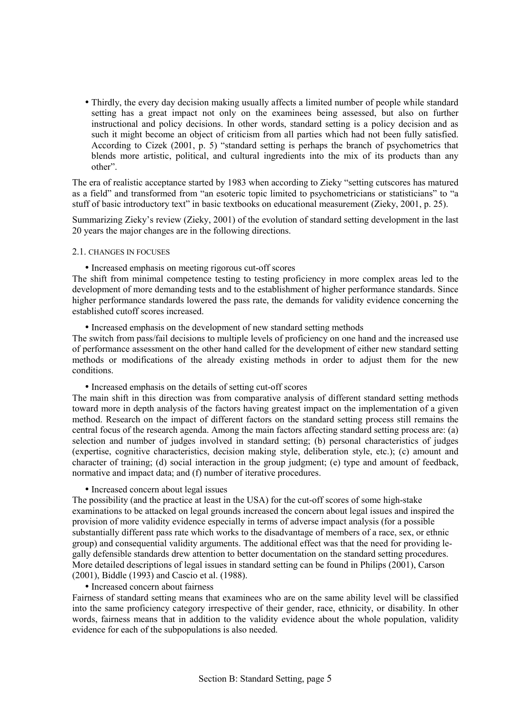• Thirdly, the every day decision making usually affects a limited number of people while standard setting has a great impact not only on the examinees being assessed, but also on further instructional and policy decisions. In other words, standard setting is a policy decision and as such it might become an object of criticism from all parties which had not been fully satisfied. According to Cizek  $(2001, p. 5)$  "standard setting is perhaps the branch of psychometrics that blends more artistic, political, and cultural ingredients into the mix of its products than any other".

The era of realistic acceptance started by 1983 when according to Zieky "setting cutscores has matured as a field" and transformed from "an esoteric topic limited to psychometricians or statisticians" to "a stuff of basic introductory text" in basic textbooks on educational measurement (Zieky, 2001, p. 25).

Summarizing Zieky's review (Zieky, 2001) of the evolution of standard setting development in the last 20 years the major changes are in the following directions.

#### 2.1. CHANGES IN FOCUSES

• Increased emphasis on meeting rigorous cut-off scores

The shift from minimal competence testing to testing proficiency in more complex areas led to the development of more demanding tests and to the establishment of higher performance standards. Since higher performance standards lowered the pass rate, the demands for validity evidence concerning the established cutoff scores increased.

• Increased emphasis on the development of new standard setting methods

The switch from pass/fail decisions to multiple levels of proficiency on one hand and the increased use of performance assessment on the other hand called for the development of either new standard setting methods or modifications of the already existing methods in order to adjust them for the new conditions.

#### • Increased emphasis on the details of setting cut-off scores

The main shift in this direction was from comparative analysis of different standard setting methods toward more in depth analysis of the factors having greatest impact on the implementation of a given method. Research on the impact of different factors on the standard setting process still remains the central focus of the research agenda. Among the main factors affecting standard setting process are: (a) selection and number of judges involved in standard setting; (b) personal characteristics of judges (expertise, cognitive characteristics, decision making style, deliberation style, etc.); (c) amount and character of training; (d) social interaction in the group judgment; (e) type and amount of feedback, normative and impact data; and (f) number of iterative procedures.

#### • Increased concern about legal issues

The possibility (and the practice at least in the USA) for the cut-off scores of some high-stake examinations to be attacked on legal grounds increased the concern about legal issues and inspired the provision of more validity evidence especially in terms of adverse impact analysis (for a possible substantially different pass rate which works to the disadvantage of members of a race, sex, or ethnic group) and consequential validity arguments. The additional effect was that the need for providing legally defensible standards drew attention to better documentation on the standard setting procedures. More detailed descriptions of legal issues in standard setting can be found in Philips (2001), Carson (2001), Biddle (1993) and Cascio et al. (1988).

#### • Increased concern about fairness

Fairness of standard setting means that examinees who are on the same ability level will be classified into the same proficiency category irrespective of their gender, race, ethnicity, or disability. In other words, fairness means that in addition to the validity evidence about the whole population, validity evidence for each of the subpopulations is also needed.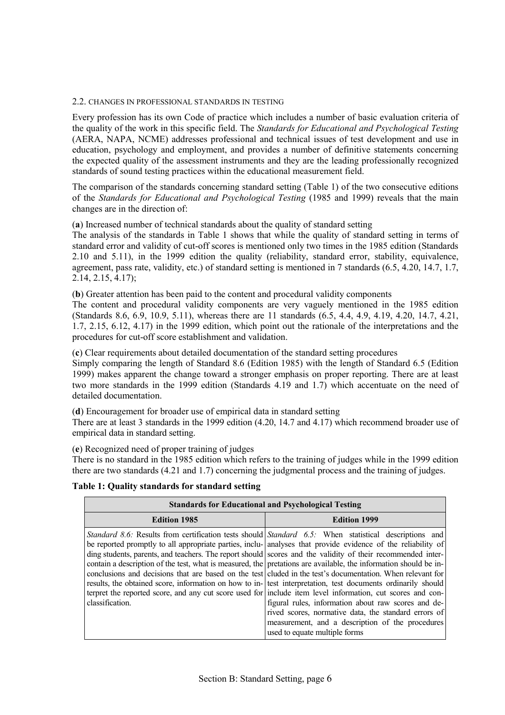## 2.2. CHANGES IN PROFESSIONAL STANDARDS IN TESTING

Every profession has its own Code of practice which includes a number of basic evaluation criteria of the quality of the work in this specific field. The *Standards for Educational and Psychological Testing* (AERA, NAPA, NCME) addresses professional and technical issues of test development and use in education, psychology and employment, and provides a number of definitive statements concerning the expected quality of the assessment instruments and they are the leading professionally recognized standards of sound testing practices within the educational measurement field.

The comparison of the standards concerning standard setting (Table 1) of the two consecutive editions of the *Standards for Educational and Psychological Testing* (1985 and 1999) reveals that the main changes are in the direction of:

(**a**) Increased number of technical standards about the quality of standard setting

The analysis of the standards in Table 1 shows that while the quality of standard setting in terms of standard error and validity of cut-off scores is mentioned only two times in the 1985 edition (Standards 2.10 and 5.11), in the 1999 edition the quality (reliability, standard error, stability, equivalence, agreement, pass rate, validity, etc.) of standard setting is mentioned in 7 standards (6.5, 4.20, 14.7, 1.7, 2.14, 2.15, 4.17);

(**b**) Greater attention has been paid to the content and procedural validity components

The content and procedural validity components are very vaguely mentioned in the 1985 edition (Standards 8.6, 6.9, 10.9, 5.11), whereas there are 11 standards (6.5, 4.4, 4.9, 4.19, 4.20, 14.7, 4.21, 1.7, 2.15, 6.12, 4.17) in the 1999 edition, which point out the rationale of the interpretations and the procedures for cut-off score establishment and validation.

(**c**) Clear requirements about detailed documentation of the standard setting procedures

Simply comparing the length of Standard 8.6 (Edition 1985) with the length of Standard 6.5 (Edition 1999) makes apparent the change toward a stronger emphasis on proper reporting. There are at least two more standards in the 1999 edition (Standards 4.19 and 1.7) which accentuate on the need of detailed documentation.

(**d**) Encouragement for broader use of empirical data in standard setting

There are at least 3 standards in the 1999 edition (4.20, 14.7 and 4.17) which recommend broader use of empirical data in standard setting.

(**e**) Recognized need of proper training of judges

There is no standard in the 1985 edition which refers to the training of judges while in the 1999 edition there are two standards (4.21 and 1.7) concerning the judgmental process and the training of judges.

#### **Table 1: Quality standards for standard setting**

|                     | <b>Standards for Educational and Psychological Testing</b>                                                                                                                                                                                                                                                                                                                                                                                                                                                                                                                                                                                                                                                                                                                                                                                                                                                                                                                                               |
|---------------------|----------------------------------------------------------------------------------------------------------------------------------------------------------------------------------------------------------------------------------------------------------------------------------------------------------------------------------------------------------------------------------------------------------------------------------------------------------------------------------------------------------------------------------------------------------------------------------------------------------------------------------------------------------------------------------------------------------------------------------------------------------------------------------------------------------------------------------------------------------------------------------------------------------------------------------------------------------------------------------------------------------|
| <b>Edition 1985</b> | <b>Edition 1999</b>                                                                                                                                                                                                                                                                                                                                                                                                                                                                                                                                                                                                                                                                                                                                                                                                                                                                                                                                                                                      |
| classification.     | Standard 8.6: Results from certification tests should Standard 6.5: When statistical descriptions and<br>be reported promptly to all appropriate parties, inclu- analyses that provide evidence of the reliability of<br>ding students, parents, and teachers. The report should scores and the validity of their recommended inter-<br>contain a description of the test, what is measured, the pretations are available, the information should be in-<br>conclusions and decisions that are based on the test cluded in the test's documentation. When relevant for<br>results, the obtained score, information on how to in- test interpretation, test documents ordinarily should<br>terpret the reported score, and any cut score used for include item level information, cut scores and con-<br>figural rules, information about raw scores and de-<br>rived scores, normative data, the standard errors of<br>measurement, and a description of the procedures<br>used to equate multiple forms |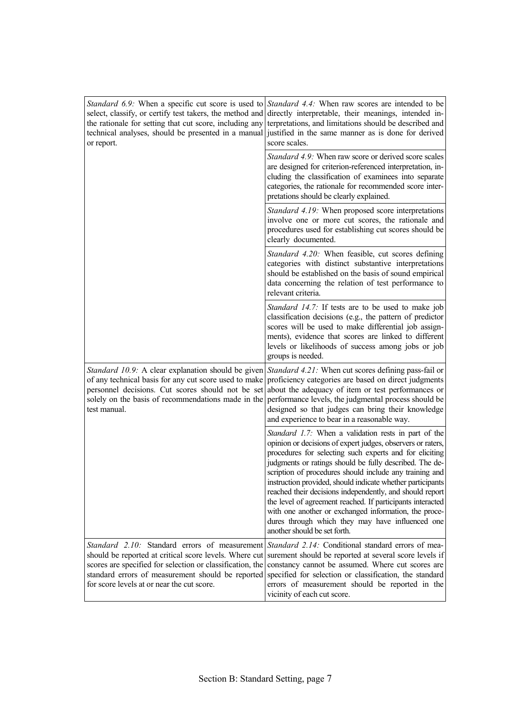| the rationale for setting that cut score, including any<br>or report.                                                                                                                                                                                                   | <i>Standard 6.9</i> : When a specific cut score is used to <i>Standard 4.4</i> : When raw scores are intended to be<br>select, classify, or certify test takers, the method and directly interpretable, their meanings, intended in-<br>terpretations, and limitations should be described and<br>technical analyses, should be presented in a manual justified in the same manner as is done for derived<br>score scales.                                                                                                                                                                                                                |
|-------------------------------------------------------------------------------------------------------------------------------------------------------------------------------------------------------------------------------------------------------------------------|-------------------------------------------------------------------------------------------------------------------------------------------------------------------------------------------------------------------------------------------------------------------------------------------------------------------------------------------------------------------------------------------------------------------------------------------------------------------------------------------------------------------------------------------------------------------------------------------------------------------------------------------|
|                                                                                                                                                                                                                                                                         | <i>Standard 4.9:</i> When raw score or derived score scales<br>are designed for criterion-referenced interpretation, in-<br>cluding the classification of examinees into separate<br>categories, the rationale for recommended score inter-<br>pretations should be clearly explained.                                                                                                                                                                                                                                                                                                                                                    |
|                                                                                                                                                                                                                                                                         | Standard 4.19: When proposed score interpretations<br>involve one or more cut scores, the rationale and<br>procedures used for establishing cut scores should be<br>clearly documented.                                                                                                                                                                                                                                                                                                                                                                                                                                                   |
|                                                                                                                                                                                                                                                                         | Standard 4.20: When feasible, cut scores defining<br>categories with distinct substantive interpretations<br>should be established on the basis of sound empirical<br>data concerning the relation of test performance to<br>relevant criteria.                                                                                                                                                                                                                                                                                                                                                                                           |
|                                                                                                                                                                                                                                                                         | Standard 14.7: If tests are to be used to make job<br>classification decisions (e.g., the pattern of predictor<br>scores will be used to make differential job assign-<br>ments), evidence that scores are linked to different<br>levels or likelihoods of success among jobs or job<br>groups is needed.                                                                                                                                                                                                                                                                                                                                 |
| of any technical basis for any cut score used to make<br>personnel decisions. Cut scores should not be set<br>test manual.                                                                                                                                              | <i>Standard 10.9:</i> A clear explanation should be given <i>Standard 4.21:</i> When cut scores defining pass-fail or<br>proficiency categories are based on direct judgments<br>about the adequacy of item or test performances or<br>solely on the basis of recommendations made in the performance levels, the judgmental process should be<br>designed so that judges can bring their knowledge<br>and experience to bear in a reasonable way.                                                                                                                                                                                        |
|                                                                                                                                                                                                                                                                         | Standard 1.7: When a validation rests in part of the<br>opinion or decisions of expert judges, observers or raters,<br>procedures for selecting such experts and for eliciting<br>judgments or ratings should be fully described. The de-<br>scription of procedures should include any training and<br>instruction provided, should indicate whether participants<br>reached their decisions independently, and should report<br>the level of agreement reached. If participants interacted<br>with one another or exchanged information, the proce-<br>dures through which they may have influenced one<br>another should be set forth. |
| Standard 2.10: Standard errors of measurement<br>should be reported at critical score levels. Where cut<br>scores are specified for selection or classification, the<br>standard errors of measurement should be reported<br>for score levels at or near the cut score. | <i>Standard 2.14:</i> Conditional standard errors of mea-<br>surement should be reported at several score levels if<br>constancy cannot be assumed. Where cut scores are<br>specified for selection or classification, the standard<br>errors of measurement should be reported in the<br>vicinity of each cut score.                                                                                                                                                                                                                                                                                                                     |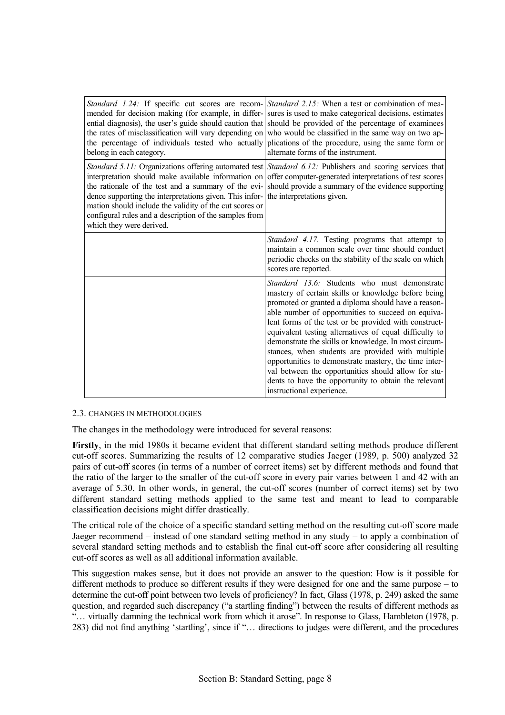| belong in each category.                                                                                                                                                                                                                                        | <i>Standard 1.24:</i> If specific cut scores are recom- <i>Standard 2.15:</i> When a test or combination of mea-<br>mended for decision making (for example, in differ- sures is used to make categorical decisions, estimates<br>ential diagnosis), the user's guide should caution that should be provided of the percentage of examinees<br>the rates of misclassification will vary depending on who would be classified in the same way on two ap-<br>the percentage of individuals tested who actually plications of the procedure, using the same form or<br>alternate forms of the instrument.                                                       |
|-----------------------------------------------------------------------------------------------------------------------------------------------------------------------------------------------------------------------------------------------------------------|--------------------------------------------------------------------------------------------------------------------------------------------------------------------------------------------------------------------------------------------------------------------------------------------------------------------------------------------------------------------------------------------------------------------------------------------------------------------------------------------------------------------------------------------------------------------------------------------------------------------------------------------------------------|
| the rationale of the test and a summary of the evi-<br>dence supporting the interpretations given. This infor-<br>mation should include the validity of the cut scores or<br>configural rules and a description of the samples from<br>which they were derived. | Standard 5.11: Organizations offering automated test Standard 6.12: Publishers and scoring services that<br>interpretation should make available information on offer computer-generated interpretations of test scores<br>should provide a summary of the evidence supporting<br>the interpretations given.                                                                                                                                                                                                                                                                                                                                                 |
|                                                                                                                                                                                                                                                                 | Standard 4.17. Testing programs that attempt to<br>maintain a common scale over time should conduct<br>periodic checks on the stability of the scale on which<br>scores are reported.                                                                                                                                                                                                                                                                                                                                                                                                                                                                        |
|                                                                                                                                                                                                                                                                 | <i>Standard 13.6:</i> Students who must demonstrate<br>mastery of certain skills or knowledge before being<br>promoted or granted a diploma should have a reason-<br>able number of opportunities to succeed on equiva-<br>lent forms of the test or be provided with construct-<br>equivalent testing alternatives of equal difficulty to<br>demonstrate the skills or knowledge. In most circum-<br>stances, when students are provided with multiple<br>opportunities to demonstrate mastery, the time inter-<br>val between the opportunities should allow for stu-<br>dents to have the opportunity to obtain the relevant<br>instructional experience. |

#### 2.3. CHANGES IN METHODOLOGIES

The changes in the methodology were introduced for several reasons:

**Firstly**, in the mid 1980s it became evident that different standard setting methods produce different cut-off scores. Summarizing the results of 12 comparative studies Jaeger (1989, p. 500) analyzed 32 pairs of cut-off scores (in terms of a number of correct items) set by different methods and found that the ratio of the larger to the smaller of the cut-off score in every pair varies between 1 and 42 with an average of 5.30. In other words, in general, the cut-off scores (number of correct items) set by two different standard setting methods applied to the same test and meant to lead to comparable classification decisions might differ drastically.

The critical role of the choice of a specific standard setting method on the resulting cut-off score made Jaeger recommend – instead of one standard setting method in any study  $-$  to apply a combination of several standard setting methods and to establish the final cut-off score after considering all resulting cut-off scores as well as all additional information available.

This suggestion makes sense, but it does not provide an answer to the question: How is it possible for different methods to produce so different results if they were designed for one and the same purpose  $-$  to determine the cut-off point between two levels of proficiency? In fact, Glass (1978, p. 249) asked the same question, and regarded such discrepancy ("a startling finding") between the results of different methods as "... virtually damning the technical work from which it arose". In response to Glass, Hambleton (1978, p. 283) did not find anything 'startling', since if "... directions to judges were different, and the procedures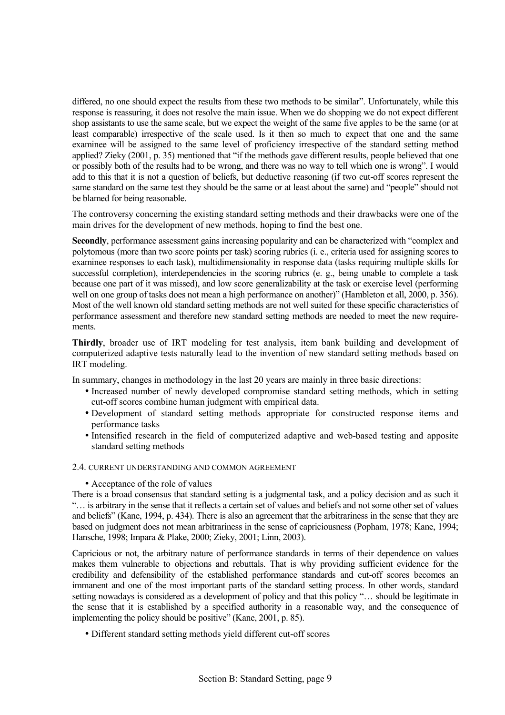differed, no one should expect the results from these two methods to be similar". Unfortunately, while this response is reassuring, it does not resolve the main issue. When we do shopping we do not expect different shop assistants to use the same scale, but we expect the weight of the same five apples to be the same (or at least comparable) irrespective of the scale used. Is it then so much to expect that one and the same examinee will be assigned to the same level of proficiency irrespective of the standard setting method applied? Zieky (2001, p. 35) mentioned that "if the methods gave different results, people believed that one or possibly both of the results had to be wrong, and there was no way to tell which one is wrongî. I would add to this that it is not a question of beliefs, but deductive reasoning (if two cut-off scores represent the same standard on the same test they should be the same or at least about the same) and "people" should not be blamed for being reasonable.

The controversy concerning the existing standard setting methods and their drawbacks were one of the main drives for the development of new methods, hoping to find the best one.

**Secondly**, performance assessment gains increasing popularity and can be characterized with "complex and polytomous (more than two score points per task) scoring rubrics (i. e., criteria used for assigning scores to examinee responses to each task), multidimensionality in response data (tasks requiring multiple skills for successful completion), interdependencies in the scoring rubrics (e. g., being unable to complete a task because one part of it was missed), and low score generalizability at the task or exercise level (performing well on one group of tasks does not mean a high performance on another)" (Hambleton et all, 2000, p. 356). Most of the well known old standard setting methods are not well suited for these specific characteristics of performance assessment and therefore new standard setting methods are needed to meet the new requirements.

**Thirdly**, broader use of IRT modeling for test analysis, item bank building and development of computerized adaptive tests naturally lead to the invention of new standard setting methods based on IRT modeling.

In summary, changes in methodology in the last 20 years are mainly in three basic directions:

- Increased number of newly developed compromise standard setting methods, which in setting cut-off scores combine human judgment with empirical data.
- Development of standard setting methods appropriate for constructed response items and performance tasks
- Intensified research in the field of computerized adaptive and web-based testing and apposite standard setting methods

## 2.4. CURRENT UNDERSTANDING AND COMMON AGREEMENT

• Acceptance of the role of values

There is a broad consensus that standard setting is a judgmental task, and a policy decision and as such it ìÖ is arbitrary in the sense that it reflects a certain set of values and beliefs and not some other set of values and beliefsî (Kane, 1994, p. 434). There is also an agreement that the arbitrariness in the sense that they are based on judgment does not mean arbitrariness in the sense of capriciousness (Popham, 1978; Kane, 1994; Hansche, 1998; Impara & Plake, 2000; Zieky, 2001; Linn, 2003).

Capricious or not, the arbitrary nature of performance standards in terms of their dependence on values makes them vulnerable to objections and rebuttals. That is why providing sufficient evidence for the credibility and defensibility of the established performance standards and cut-off scores becomes an immanent and one of the most important parts of the standard setting process. In other words, standard setting nowadays is considered as a development of policy and that this policy "... should be legitimate in the sense that it is established by a specified authority in a reasonable way, and the consequence of implementing the policy should be positive" (Kane, 2001, p. 85).

• Different standard setting methods yield different cut-off scores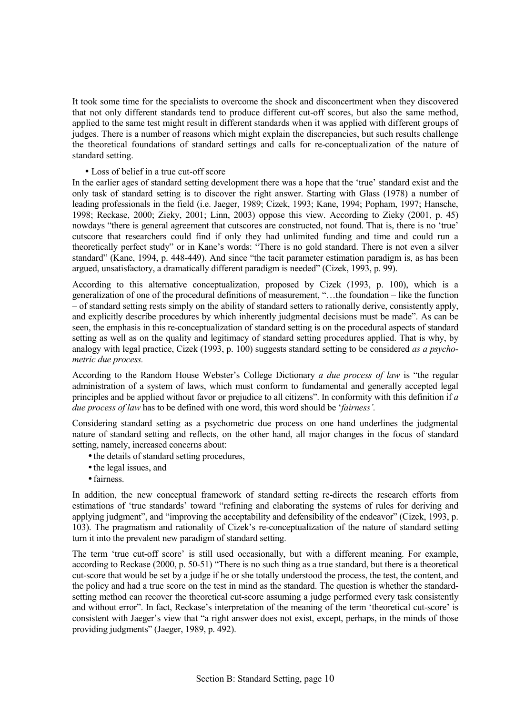It took some time for the specialists to overcome the shock and disconcertment when they discovered that not only different standards tend to produce different cut-off scores, but also the same method, applied to the same test might result in different standards when it was applied with different groups of judges. There is a number of reasons which might explain the discrepancies, but such results challenge the theoretical foundations of standard settings and calls for re-conceptualization of the nature of standard setting.

#### • Loss of belief in a true cut-off score

In the earlier ages of standard setting development there was a hope that the 'true' standard exist and the only task of standard setting is to discover the right answer. Starting with Glass (1978) a number of leading professionals in the field (i.e. Jaeger, 1989; Cizek, 1993; Kane, 1994; Popham, 1997; Hansche, 1998; Reckase, 2000; Zieky, 2001; Linn, 2003) oppose this view. According to Zieky (2001, p. 45) nowdays "there is general agreement that cutscores are constructed, not found. That is, there is no 'true' cutscore that researchers could find if only they had unlimited funding and time and could run a theoretically perfect study" or in Kane's words: "There is no gold standard. There is not even a silver standard" (Kane, 1994, p. 448-449). And since "the tacit parameter estimation paradigm is, as has been argued, unsatisfactory, a dramatically different paradigm is needed" (Cizek, 1993, p. 99).

According to this alternative conceptualization, proposed by Cizek (1993, p. 100), which is a generalization of one of the procedural definitions of measurement,  $\dots$  the foundation – like the function ñ of standard setting rests simply on the ability of standard setters to rationally derive, consistently apply, and explicitly describe procedures by which inherently judgmental decisions must be made". As can be seen, the emphasis in this re-conceptualization of standard setting is on the procedural aspects of standard setting as well as on the quality and legitimacy of standard setting procedures applied. That is why, by analogy with legal practice, Cizek (1993, p. 100) suggests standard setting to be considered *as a psychometric due process.* 

According to the Random House Webster's College Dictionary *a due process of law* is "the regular administration of a system of laws, which must conform to fundamental and generally accepted legal principles and be applied without favor or prejudice to all citizensî. In conformity with this definition if *a due process of law* has to be defined with one word, this word should be 'fairness'.

Considering standard setting as a psychometric due process on one hand underlines the judgmental nature of standard setting and reflects, on the other hand, all major changes in the focus of standard setting, namely, increased concerns about:

- the details of standard setting procedures,
- the legal issues, and
- fairness.

In addition, the new conceptual framework of standard setting re-directs the research efforts from estimations of 'true standards' toward "refining and elaborating the systems of rules for deriving and applying judgment", and "improving the acceptability and defensibility of the endeavor" (Cizek, 1993, p. 103). The pragmatism and rationality of Cizek's re-conceptualization of the nature of standard setting turn it into the prevalent new paradigm of standard setting.

The term 'true cut-off score' is still used occasionally, but with a different meaning. For example, according to Reckase  $(2000, p. 50-51)$  "There is no such thing as a true standard, but there is a theoretical cut-score that would be set by a judge if he or she totally understood the process, the test, the content, and the policy and had a true score on the test in mind as the standard. The question is whether the standardsetting method can recover the theoretical cut-score assuming a judge performed every task consistently and without error". In fact, Reckase's interpretation of the meaning of the term 'theoretical cut-score' is consistent with Jaeger's view that "a right answer does not exist, except, perhaps, in the minds of those providing judgments" (Jaeger, 1989, p. 492).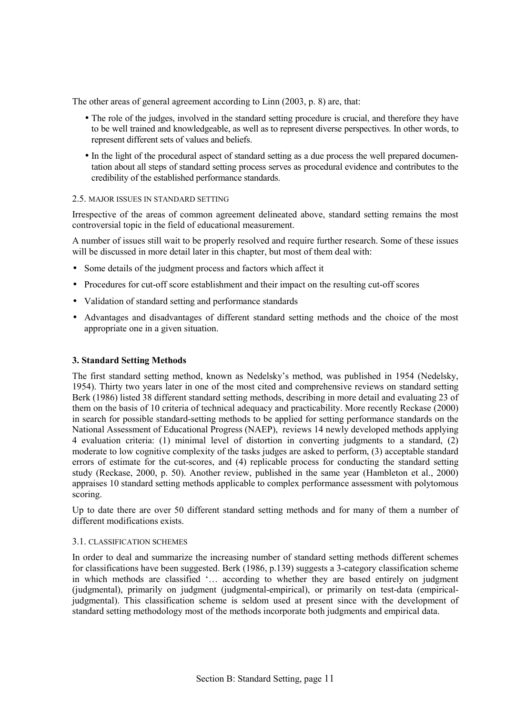The other areas of general agreement according to Linn (2003, p. 8) are, that:

- The role of the judges, involved in the standard setting procedure is crucial, and therefore they have to be well trained and knowledgeable, as well as to represent diverse perspectives. In other words, to represent different sets of values and beliefs.
- In the light of the procedural aspect of standard setting as a due process the well prepared documentation about all steps of standard setting process serves as procedural evidence and contributes to the credibility of the established performance standards.

#### 2.5. MAJOR ISSUES IN STANDARD SETTING

Irrespective of the areas of common agreement delineated above, standard setting remains the most controversial topic in the field of educational measurement.

A number of issues still wait to be properly resolved and require further research. Some of these issues will be discussed in more detail later in this chapter, but most of them deal with:

- Some details of the judgment process and factors which affect it
- Procedures for cut-off score establishment and their impact on the resulting cut-off scores
- Validation of standard setting and performance standards
- Advantages and disadvantages of different standard setting methods and the choice of the most appropriate one in a given situation.

#### **3. Standard Setting Methods**

The first standard setting method, known as Nedelsky's method, was published in 1954 (Nedelsky, 1954). Thirty two years later in one of the most cited and comprehensive reviews on standard setting Berk (1986) listed 38 different standard setting methods, describing in more detail and evaluating 23 of them on the basis of 10 criteria of technical adequacy and practicability. More recently Reckase (2000) in search for possible standard-setting methods to be applied for setting performance standards on the National Assessment of Educational Progress (NAEP), reviews 14 newly developed methods applying 4 evaluation criteria: (1) minimal level of distortion in converting judgments to a standard, (2) moderate to low cognitive complexity of the tasks judges are asked to perform, (3) acceptable standard errors of estimate for the cut-scores, and (4) replicable process for conducting the standard setting study (Reckase, 2000, p. 50). Another review, published in the same year (Hambleton et al., 2000) appraises 10 standard setting methods applicable to complex performance assessment with polytomous scoring.

Up to date there are over 50 different standard setting methods and for many of them a number of different modifications exists.

#### 3.1. CLASSIFICATION SCHEMES

In order to deal and summarize the increasing number of standard setting methods different schemes for classifications have been suggested. Berk (1986, p.139) suggests a 3-category classification scheme in which methods are classified '... according to whether they are based entirely on judgment (judgmental), primarily on judgment (judgmental-empirical), or primarily on test-data (empiricaljudgmental). This classification scheme is seldom used at present since with the development of standard setting methodology most of the methods incorporate both judgments and empirical data.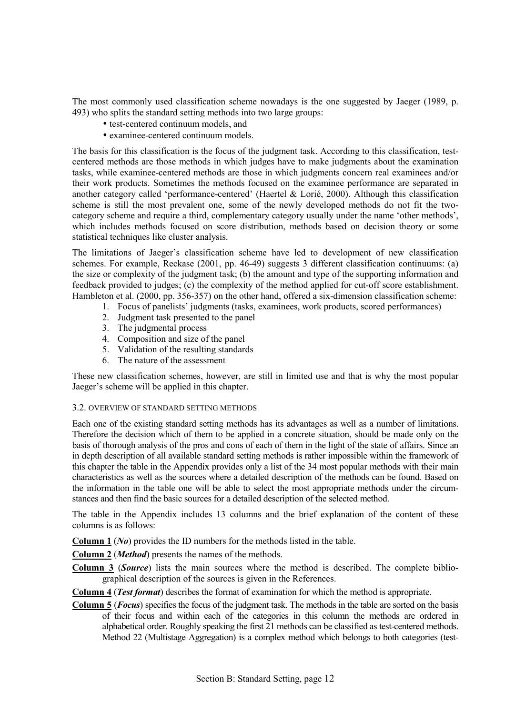The most commonly used classification scheme nowadays is the one suggested by Jaeger (1989, p. 493) who splits the standard setting methods into two large groups:

- test-centered continuum models, and
- examinee-centered continuum models.

The basis for this classification is the focus of the judgment task. According to this classification, testcentered methods are those methods in which judges have to make judgments about the examination tasks, while examinee-centered methods are those in which judgments concern real examinees and/or their work products. Sometimes the methods focused on the examinee performance are separated in another category called 'performance-centered' (Haertel & Lorié, 2000). Although this classification scheme is still the most prevalent one, some of the newly developed methods do not fit the twocategory scheme and require a third, complementary category usually under the name 'other methods', which includes methods focused on score distribution, methods based on decision theory or some statistical techniques like cluster analysis.

The limitations of Jaeger's classification scheme have led to development of new classification schemes. For example, Reckase (2001, pp. 46-49) suggests 3 different classification continuums: (a) the size or complexity of the judgment task; (b) the amount and type of the supporting information and feedback provided to judges; (c) the complexity of the method applied for cut-off score establishment. Hambleton et al. (2000, pp. 356-357) on the other hand, offered a six-dimension classification scheme:

- 1. Focus of panelists' judgments (tasks, examinees, work products, scored performances)
- 2. Judgment task presented to the panel
- 3. The judgmental process
- 4. Composition and size of the panel
- 5. Validation of the resulting standards
- 6. The nature of the assessment

These new classification schemes, however, are still in limited use and that is why the most popular Jaeger's scheme will be applied in this chapter.

## 3.2. OVERVIEW OF STANDARD SETTING METHODS

Each one of the existing standard setting methods has its advantages as well as a number of limitations. Therefore the decision which of them to be applied in a concrete situation, should be made only on the basis of thorough analysis of the pros and cons of each of them in the light of the state of affairs. Since an in depth description of all available standard setting methods is rather impossible within the framework of this chapter the table in the Appendix provides only a list of the 34 most popular methods with their main characteristics as well as the sources where a detailed description of the methods can be found. Based on the information in the table one will be able to select the most appropriate methods under the circumstances and then find the basic sources for a detailed description of the selected method.

The table in the Appendix includes 13 columns and the brief explanation of the content of these columns is as follows:

**Column 1** (*No*) provides the ID numbers for the methods listed in the table.

**Column 2** (*Method*) presents the names of the methods.

**Column 3** (*Source*) lists the main sources where the method is described. The complete bibliographical description of the sources is given in the References.

**Column 4** (*Test format*) describes the format of examination for which the method is appropriate.

**Column 5** (*Focus*) specifies the focus of the judgment task. The methods in the table are sorted on the basis of their focus and within each of the categories in this column the methods are ordered in alphabetical order. Roughly speaking the first 21 methods can be classified as test-centered methods. Method 22 (Multistage Aggregation) is a complex method which belongs to both categories (test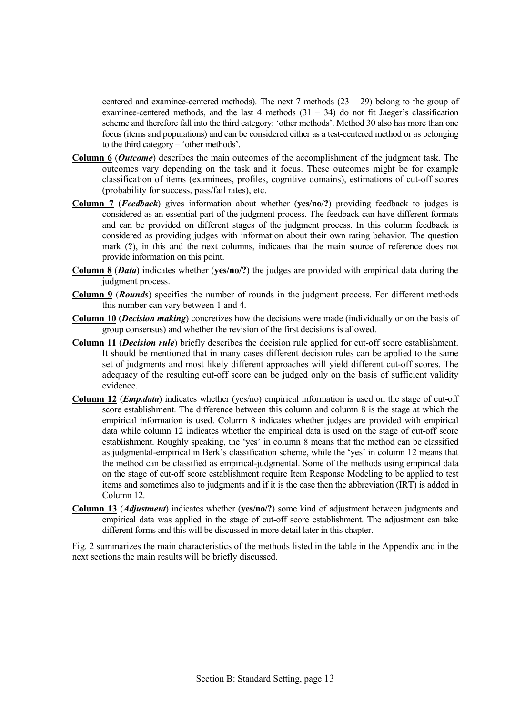centered and examinee-centered methods). The next 7 methods  $(23 – 29)$  belong to the group of examinee-centered methods, and the last 4 methods  $(31 - 34)$  do not fit Jaeger's classification scheme and therefore fall into the third category: 'other methods'. Method 30 also has more than one focus (items and populations) and can be considered either as a test-centered method or as belonging to the third category  $-$  'other methods'.

- **Column 6** (*Outcome*) describes the main outcomes of the accomplishment of the judgment task. The outcomes vary depending on the task and it focus. These outcomes might be for example classification of items (examinees, profiles, cognitive domains), estimations of cut-off scores (probability for success, pass/fail rates), etc.
- **Column 7** (*Feedback*) gives information about whether (**yes/no/?**) providing feedback to judges is considered as an essential part of the judgment process. The feedback can have different formats and can be provided on different stages of the judgment process. In this column feedback is considered as providing judges with information about their own rating behavior. The question mark (?), in this and the next columns, indicates that the main source of reference does not provide information on this point.
- **Column 8** (*Data*) indicates whether (**yes/no/?**) the judges are provided with empirical data during the judgment process.
- **Column 9** (*Rounds*) specifies the number of rounds in the judgment process. For different methods this number can vary between 1 and 4.
- **Column 10** (*Decision making*) concretizes how the decisions were made (individually or on the basis of group consensus) and whether the revision of the first decisions is allowed.
- **Column 11** (*Decision rule*) briefly describes the decision rule applied for cut-off score establishment. It should be mentioned that in many cases different decision rules can be applied to the same set of judgments and most likely different approaches will yield different cut-off scores. The adequacy of the resulting cut-off score can be judged only on the basis of sufficient validity evidence.
- **Column 12** (*Emp.data*) indicates whether (yes/no) empirical information is used on the stage of cut-off score establishment. The difference between this column and column 8 is the stage at which the empirical information is used. Column 8 indicates whether judges are provided with empirical data while column 12 indicates whether the empirical data is used on the stage of cut-off score establishment. Roughly speaking, the 'yes' in column 8 means that the method can be classified as judgmental-empirical in Berk's classification scheme, while the 'ves' in column 12 means that the method can be classified as empirical-judgmental. Some of the methods using empirical data on the stage of cut-off score establishment require Item Response Modeling to be applied to test items and sometimes also to judgments and if it is the case then the abbreviation (IRT) is added in Column 12.
- **Column 13** (*Adjustment*) indicates whether (**yes/no/?**) some kind of adjustment between judgments and empirical data was applied in the stage of cut-off score establishment. The adjustment can take different forms and this will be discussed in more detail later in this chapter.

Fig. 2 summarizes the main characteristics of the methods listed in the table in the Appendix and in the next sections the main results will be briefly discussed.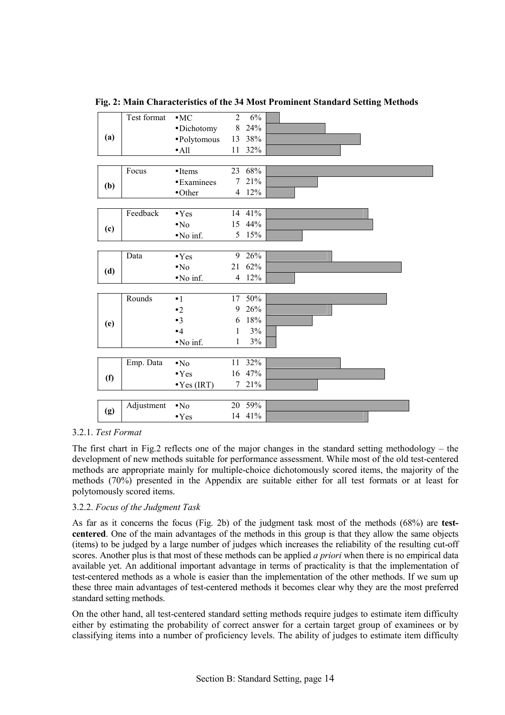Test format  $\bullet$  MC 2 6% • Dichotomy 8 24% • Polytomous 13 38% **(a)**  • All  $11 \t32\%$ Focus • Items 23 68% **(b)**  $\bullet$  Examinees 7 21%<br> $\bullet$  Other 4 12%  $4 \quad 12\%$ Feedback • Yes 14 41% (c)  $\bullet$ No  $\bullet$ 15 44% **(d)**  $\bullet$ No inf 5 15%  $\bullet$  No inf. Data  $\bullet$  Yes 9 26% (d)  $\bullet$ No  $21\frac{62\%}{\bullet}$  **(d)**  $\bullet$ No inf  $4\frac{12\%}{\bullet}$  $\bullet$  No inf. Rounds  $\bullet 1$  17 50% • 2 9 26%  $• 3$  6 18%  $\bullet 4$  1 3% **(e)**  • No inf.  $1 \quad 3\%$ Emp. Data  $\bullet$  No  $11 \quad 32\%$ (f)  $\bullet$  Yes 16 47%<br> $\bullet$  Yes (IRT) 7 21%  $\bullet$  Yes (IRT) Adjustment • No 20 59% **(g)**  • Yes 14 41%

**Fig. 2: Main Characteristics of the 34 Most Prominent Standard Setting Methods** 

## 3.2.1. *Test Format*

The first chart in Fig.2 reflects one of the major changes in the standard setting methodology  $-$  the development of new methods suitable for performance assessment. While most of the old test-centered methods are appropriate mainly for multiple-choice dichotomously scored items, the majority of the methods (70%) presented in the Appendix are suitable either for all test formats or at least for polytomously scored items.

## 3.2.2. *Focus of the Judgment Task*

As far as it concerns the focus (Fig. 2b) of the judgment task most of the methods (68%) are **testcentered**. One of the main advantages of the methods in this group is that they allow the same objects (items) to be judged by a large number of judges which increases the reliability of the resulting cut-off scores. Another plus is that most of these methods can be applied *a priori* when there is no empirical data available yet. An additional important advantage in terms of practicality is that the implementation of test-centered methods as a whole is easier than the implementation of the other methods. If we sum up these three main advantages of test-centered methods it becomes clear why they are the most preferred standard setting methods.

On the other hand, all test-centered standard setting methods require judges to estimate item difficulty either by estimating the probability of correct answer for a certain target group of examinees or by classifying items into a number of proficiency levels. The ability of judges to estimate item difficulty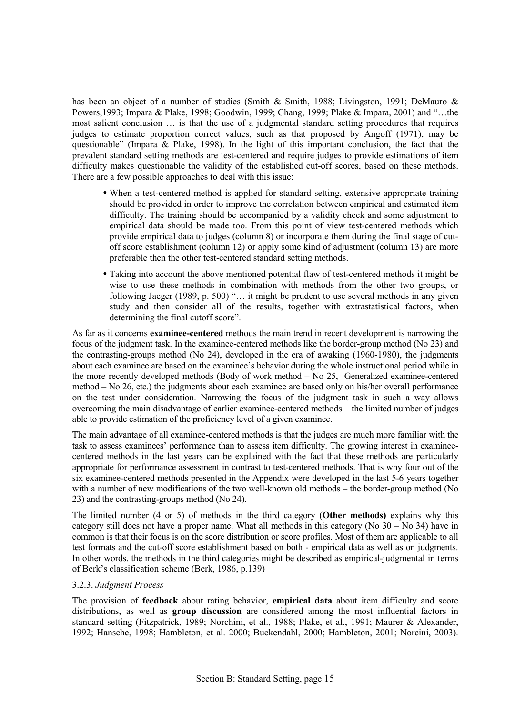has been an object of a number of studies (Smith & Smith, 1988; Livingston, 1991; DeMauro & Powers, 1993; Impara & Plake, 1998; Goodwin, 1999; Chang, 1999; Plake & Impara, 2001) and "...the most salient conclusion  $\ldots$  is that the use of a judgmental standard setting procedures that requires judges to estimate proportion correct values, such as that proposed by Angoff (1971), may be questionable" (Impara & Plake, 1998). In the light of this important conclusion, the fact that the prevalent standard setting methods are test-centered and require judges to provide estimations of item difficulty makes questionable the validity of the established cut-off scores, based on these methods. There are a few possible approaches to deal with this issue:

- When a test-centered method is applied for standard setting, extensive appropriate training should be provided in order to improve the correlation between empirical and estimated item difficulty. The training should be accompanied by a validity check and some adjustment to empirical data should be made too. From this point of view test-centered methods which provide empirical data to judges (column 8) or incorporate them during the final stage of cutoff score establishment (column 12) or apply some kind of adjustment (column 13) are more preferable then the other test-centered standard setting methods.
- Taking into account the above mentioned potential flaw of test-centered methods it might be wise to use these methods in combination with methods from the other two groups, or following Jaeger (1989, p. 500)  $\ldots$  it might be prudent to use several methods in any given study and then consider all of the results, together with extrastatistical factors, when determining the final cutoff score".

As far as it concerns **examinee-centered** methods the main trend in recent development is narrowing the focus of the judgment task. In the examinee-centered methods like the border-group method (No 23) and the contrasting-groups method (No 24), developed in the era of awaking (1960-1980), the judgments about each examinee are based on the examinee's behavior during the whole instructional period while in the more recently developed methods (Body of work method  $-$  No 25, Generalized examinee-centered method – No 26, etc.) the judgments about each examinee are based only on his/her overall performance on the test under consideration. Narrowing the focus of the judgment task in such a way allows overcoming the main disadvantage of earlier examinee-centered methods – the limited number of judges able to provide estimation of the proficiency level of a given examinee.

The main advantage of all examinee-centered methods is that the judges are much more familiar with the task to assess examinees' performance than to assess item difficulty. The growing interest in examineecentered methods in the last years can be explained with the fact that these methods are particularly appropriate for performance assessment in contrast to test-centered methods. That is why four out of the six examinee-centered methods presented in the Appendix were developed in the last 5-6 years together with a number of new modifications of the two well-known old methods  $-$  the border-group method (No 23) and the contrasting-groups method (No 24).

The limited number (4 or 5) of methods in the third category (**Other methods)** explains why this category still does not have a proper name. What all methods in this category (No  $30 -$ No  $34$ ) have in common is that their focus is on the score distribution or score profiles. Most of them are applicable to all test formats and the cut-off score establishment based on both - empirical data as well as on judgments. In other words, the methods in the third categories might be described as empirical-judgmental in terms of Berk's classification scheme (Berk, 1986, p.139)

## 3.2.3. *Judgment Process*

The provision of **feedback** about rating behavior, **empirical data** about item difficulty and score distributions, as well as **group discussion** are considered among the most influential factors in standard setting (Fitzpatrick, 1989; Norchini, et al., 1988; Plake, et al., 1991; Maurer & Alexander, 1992; Hansche, 1998; Hambleton, et al. 2000; Buckendahl, 2000; Hambleton, 2001; Norcini, 2003).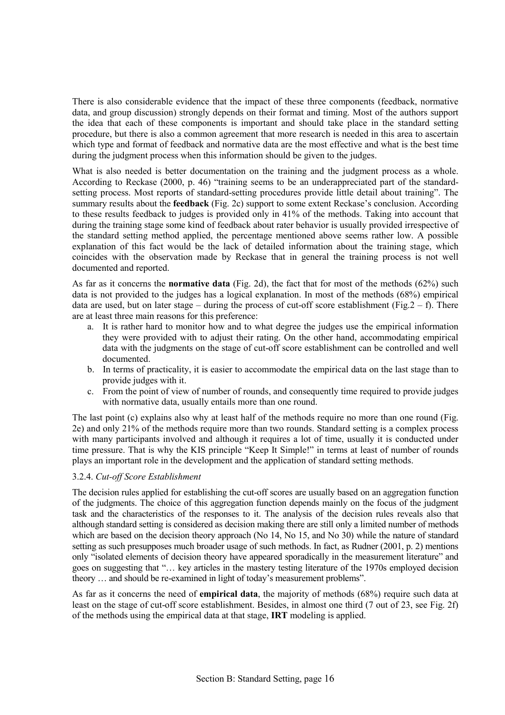There is also considerable evidence that the impact of these three components (feedback, normative data, and group discussion) strongly depends on their format and timing. Most of the authors support the idea that each of these components is important and should take place in the standard setting procedure, but there is also a common agreement that more research is needed in this area to ascertain which type and format of feedback and normative data are the most effective and what is the best time during the judgment process when this information should be given to the judges.

What is also needed is better documentation on the training and the judgment process as a whole. According to Reckase  $(2000, p. 46)$  "training seems to be an underappreciated part of the standardsetting process. Most reports of standard-setting procedures provide little detail about trainingî. The summary results about the **feedback** (Fig. 2c) support to some extent Reckase's conclusion. According to these results feedback to judges is provided only in 41% of the methods. Taking into account that during the training stage some kind of feedback about rater behavior is usually provided irrespective of the standard setting method applied, the percentage mentioned above seems rather low. A possible explanation of this fact would be the lack of detailed information about the training stage, which coincides with the observation made by Reckase that in general the training process is not well documented and reported.

As far as it concerns the **normative data** (Fig. 2d), the fact that for most of the methods (62%) such data is not provided to the judges has a logical explanation. In most of the methods (68%) empirical data are used, but on later stage – during the process of cut-off score establishment (Fig.2 – f). There are at least three main reasons for this preference:

- a. It is rather hard to monitor how and to what degree the judges use the empirical information they were provided with to adjust their rating. On the other hand, accommodating empirical data with the judgments on the stage of cut-off score establishment can be controlled and well documented.
- b. In terms of practicality, it is easier to accommodate the empirical data on the last stage than to provide judges with it.
- c. From the point of view of number of rounds, and consequently time required to provide judges with normative data, usually entails more than one round.

The last point (c) explains also why at least half of the methods require no more than one round (Fig. 2e) and only 21% of the methods require more than two rounds. Standard setting is a complex process with many participants involved and although it requires a lot of time, usually it is conducted under time pressure. That is why the KIS principle "Keep It Simple!" in terms at least of number of rounds plays an important role in the development and the application of standard setting methods.

## 3.2.4. *Cut-off Score Establishment*

The decision rules applied for establishing the cut-off scores are usually based on an aggregation function of the judgments. The choice of this aggregation function depends mainly on the focus of the judgment task and the characteristics of the responses to it. The analysis of the decision rules reveals also that although standard setting is considered as decision making there are still only a limited number of methods which are based on the decision theory approach (No 14, No 15, and No 30) while the nature of standard setting as such presupposes much broader usage of such methods. In fact, as Rudner (2001, p. 2) mentions only "isolated elements of decision theory have appeared sporadically in the measurement literature" and goes on suggesting that "... key articles in the mastery testing literature of the 1970s employed decision theory ... and should be re-examined in light of today's measurement problems".

As far as it concerns the need of **empirical data**, the majority of methods (68%) require such data at least on the stage of cut-off score establishment. Besides, in almost one third (7 out of 23, see Fig. 2f) of the methods using the empirical data at that stage, **IRT** modeling is applied.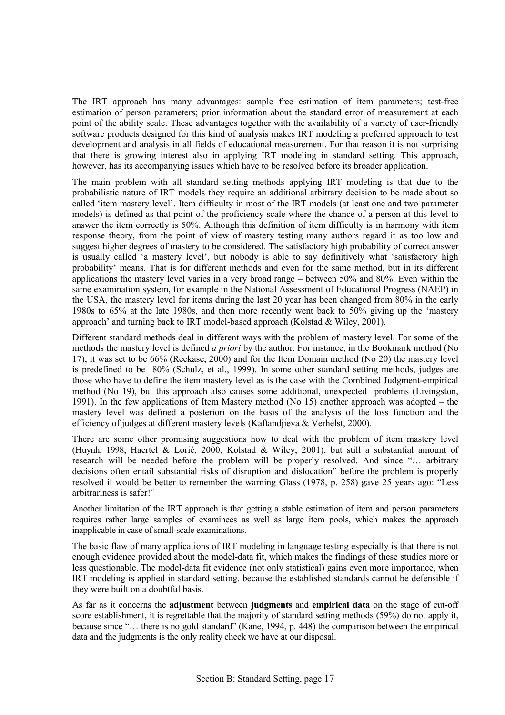The IRT approach has many advantages: sample free estimation of item parameters; test-free estimation of person parameters; prior information about the standard error of measurement at each point of the ability scale. These advantages together with the availability of a variety of user-friendly software products designed for this kind of analysis makes IRT modeling a preferred approach to test development and analysis in all fields of educational measurement. For that reason it is not surprising that there is growing interest also in applying IRT modeling in standard setting. This approach, however, has its accompanying issues which have to be resolved before its broader application.

The main problem with all standard setting methods applying IRT modeling is that due to the probabilistic nature of IRT models they require an additional arbitrary decision to be made about so called 'item mastery level'. Item difficulty in most of the IRT models (at least one and two parameter models) is defined as that point of the proficiency scale where the chance of a person at this level to answer the item correctly is 50%. Although this definition of item difficulty is in harmony with item response theory, from the point of view of mastery testing many authors regard it as too low and suggest higher degrees of mastery to be considered. The satisfactory high probability of correct answer is usually called 'a mastery level', but nobody is able to say definitively what 'satisfactory high probability' means. That is for different methods and even for the same method, but in its different applications the mastery level varies in a very broad range  $-$  between 50% and 80%. Even within the same examination system, for example in the National Assessment of Educational Progress (NAEP) in the USA, the mastery level for items during the last 20 year has been changed from 80% in the early 1980s to 65% at the late 1980s, and then more recently went back to 50% giving up the ëmastery approach' and turning back to IRT model-based approach (Kolstad  $\&$  Wiley, 2001).

Different standard methods deal in different ways with the problem of mastery level. For some of the methods the mastery level is defined *a priori* by the author. For instance, in the Bookmark method (No 17), it was set to be 66% (Reckase, 2000) and for the Item Domain method (No 20) the mastery level is predefined to be 80% (Schulz, et al., 1999). In some other standard setting methods, judges are those who have to define the item mastery level as is the case with the Combined Judgment-empirical method (No 19), but this approach also causes some additional, unexpected problems (Livingston, 1991). In the few applications of Item Mastery method (No 15) another approach was adopted  $-$  the mastery level was defined a posteriori on the basis of the analysis of the loss function and the efficiency of judges at different mastery levels (Kaftandjieva & Verhelst, 2000).

There are some other promising suggestions how to deal with the problem of item mastery level (Huynh, 1998; Haertel & Lorié, 2000; Kolstad & Wiley, 2001), but still a substantial amount of research will be needed before the problem will be properly resolved. And since "... arbitrary decisions often entail substantial risks of disruption and dislocation" before the problem is properly resolved it would be better to remember the warning Glass (1978, p. 258) gave 25 years ago: "Less arbitrariness is safer!"

Another limitation of the IRT approach is that getting a stable estimation of item and person parameters requires rather large samples of examinees as well as large item pools, which makes the approach inapplicable in case of small-scale examinations.

The basic flaw of many applications of IRT modeling in language testing especially is that there is not enough evidence provided about the model-data fit, which makes the findings of these studies more or less questionable. The model-data fit evidence (not only statistical) gains even more importance, when IRT modeling is applied in standard setting, because the established standards cannot be defensible if they were built on a doubtful basis.

As far as it concerns the **adjustment** between **judgments** and **empirical data** on the stage of cut-off score establishment, it is regrettable that the majority of standard setting methods (59%) do not apply it, because since  $\cdot\cdot\cdot$ , there is no gold standard? (Kane, 1994, p. 448) the comparison between the empirical data and the judgments is the only reality check we have at our disposal.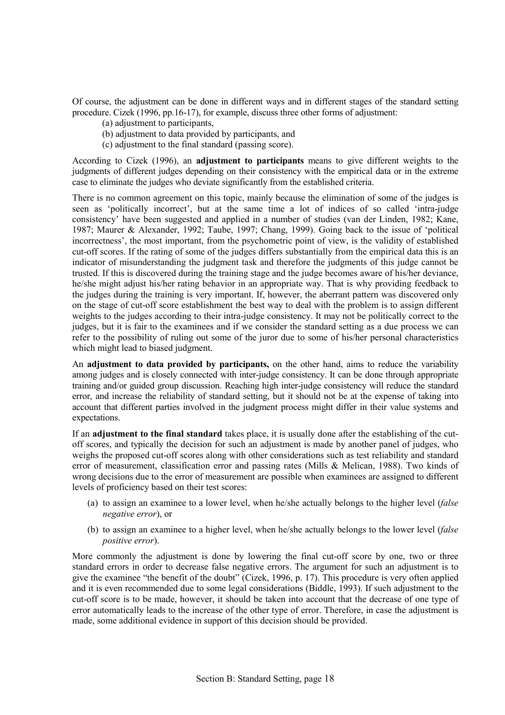Of course, the adjustment can be done in different ways and in different stages of the standard setting procedure. Cizek (1996, pp.16-17), for example, discuss three other forms of adjustment:

- (a) adjustment to participants,
- (b) adjustment to data provided by participants, and
- (c) adjustment to the final standard (passing score).

According to Cizek (1996), an **adjustment to participants** means to give different weights to the judgments of different judges depending on their consistency with the empirical data or in the extreme case to eliminate the judges who deviate significantly from the established criteria.

There is no common agreement on this topic, mainly because the elimination of some of the judges is seen as 'politically incorrect', but at the same time a lot of indices of so called 'intra-judge consistency' have been suggested and applied in a number of studies (van der Linden, 1982; Kane, 1987; Maurer & Alexander, 1992; Taube, 1997; Chang, 1999). Going back to the issue of ëpolitical incorrectness', the most important, from the psychometric point of view, is the validity of established cut-off scores. If the rating of some of the judges differs substantially from the empirical data this is an indicator of misunderstanding the judgment task and therefore the judgments of this judge cannot be trusted. If this is discovered during the training stage and the judge becomes aware of his/her deviance, he/she might adjust his/her rating behavior in an appropriate way. That is why providing feedback to the judges during the training is very important. If, however, the aberrant pattern was discovered only on the stage of cut-off score establishment the best way to deal with the problem is to assign different weights to the judges according to their intra-judge consistency. It may not be politically correct to the judges, but it is fair to the examinees and if we consider the standard setting as a due process we can refer to the possibility of ruling out some of the juror due to some of his/her personal characteristics which might lead to biased judgment.

An **adjustment to data provided by participants,** on the other hand, aims to reduce the variability among judges and is closely connected with inter-judge consistency. It can be done through appropriate training and/or guided group discussion. Reaching high inter-judge consistency will reduce the standard error, and increase the reliability of standard setting, but it should not be at the expense of taking into account that different parties involved in the judgment process might differ in their value systems and expectations.

If an **adjustment to the final standard** takes place, it is usually done after the establishing of the cutoff scores, and typically the decision for such an adjustment is made by another panel of judges, who weighs the proposed cut-off scores along with other considerations such as test reliability and standard error of measurement, classification error and passing rates (Mills & Melican, 1988). Two kinds of wrong decisions due to the error of measurement are possible when examinees are assigned to different levels of proficiency based on their test scores:

- (a) to assign an examinee to a lower level, when he/she actually belongs to the higher level (*false negative error*), or
- (b) to assign an examinee to a higher level, when he/she actually belongs to the lower level (*false positive error*).

More commonly the adjustment is done by lowering the final cut-off score by one, two or three standard errors in order to decrease false negative errors. The argument for such an adjustment is to give the examinee "the benefit of the doubt" (Cizek, 1996, p. 17). This procedure is very often applied and it is even recommended due to some legal considerations (Biddle, 1993). If such adjustment to the cut-off score is to be made, however, it should be taken into account that the decrease of one type of error automatically leads to the increase of the other type of error. Therefore, in case the adjustment is made, some additional evidence in support of this decision should be provided.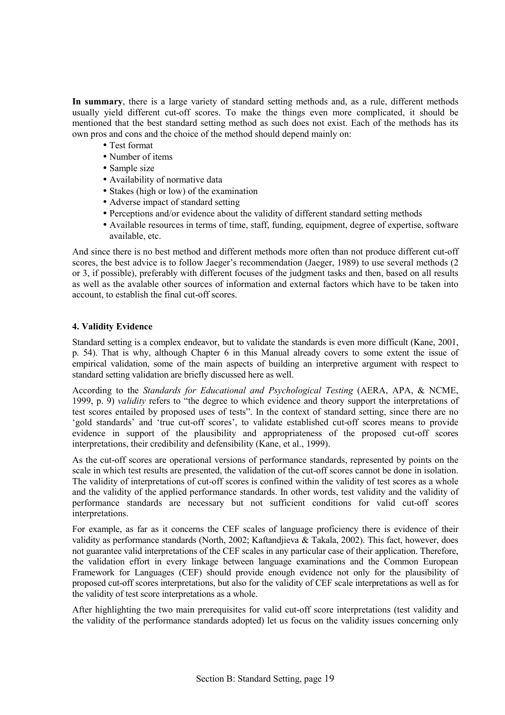**In summary**, there is a large variety of standard setting methods and, as a rule, different methods usually yield different cut-off scores. To make the things even more complicated, it should be mentioned that the best standard setting method as such does not exist. Each of the methods has its own pros and cons and the choice of the method should depend mainly on:

- Test format
- Number of items
- Sample size
- Availability of normative data
- Stakes (high or low) of the examination
- Adverse impact of standard setting
- Perceptions and/or evidence about the validity of different standard setting methods
- Available resources in terms of time, staff, funding, equipment, degree of expertise, software available, etc.

And since there is no best method and different methods more often than not produce different cut-off scores, the best advice is to follow Jaeger's recommendation (Jaeger, 1989) to use several methods (2) or 3, if possible), preferably with different focuses of the judgment tasks and then, based on all results as well as the avalable other sources of information and external factors which have to be taken into account, to establish the final cut-off scores.

## **4. Validity Evidence**

Standard setting is a complex endeavor, but to validate the standards is even more difficult (Kane, 2001, p. 54). That is why, although Chapter 6 in this Manual already covers to some extent the issue of empirical validation, some of the main aspects of building an interpretive argument with respect to standard setting validation are briefly discussed here as well.

According to the *Standards for Educational and Psychological Testing* (AERA, APA, & NCME, 1999, p. 9) *validity* refers to "the degree to which evidence and theory support the interpretations of test scores entailed by proposed uses of testsî. In the context of standard setting, since there are no 'gold standards' and 'true cut-off scores', to validate established cut-off scores means to provide evidence in support of the plausibility and appropriateness of the proposed cut-off scores interpretations, their credibility and defensibility (Kane, et al., 1999).

As the cut-off scores are operational versions of performance standards, represented by points on the scale in which test results are presented, the validation of the cut-off scores cannot be done in isolation. The validity of interpretations of cut-off scores is confined within the validity of test scores as a whole and the validity of the applied performance standards. In other words, test validity and the validity of performance standards are necessary but not sufficient conditions for valid cut-off scores interpretations.

For example, as far as it concerns the CEF scales of language proficiency there is evidence of their validity as performance standards (North, 2002; Kaftandjieva & Takala, 2002). This fact, however, does not guarantee valid interpretations of the CEF scales in any particular case of their application. Therefore, the validation effort in every linkage between language examinations and the Common European Framework for Languages (CEF) should provide enough evidence not only for the plausibility of proposed cut-off scores interpretations, but also for the validity of CEF scale interpretations as well as for the validity of test score interpretations as a whole.

After highlighting the two main prerequisites for valid cut-off score interpretations (test validity and the validity of the performance standards adopted) let us focus on the validity issues concerning only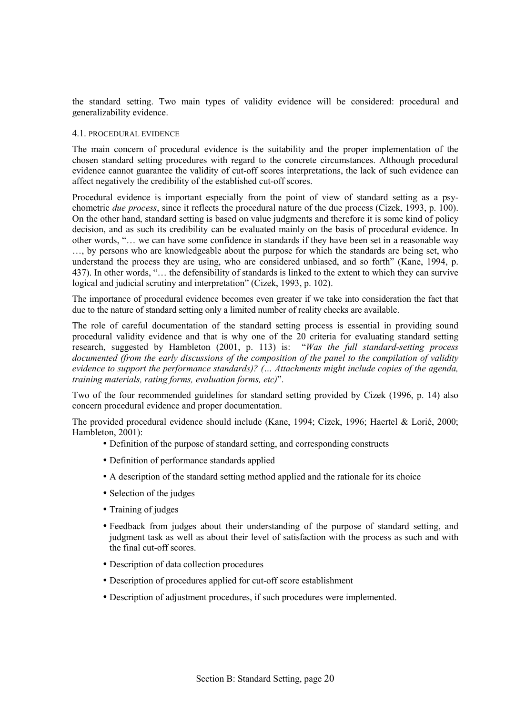the standard setting. Two main types of validity evidence will be considered: procedural and generalizability evidence.

#### 4.1. PROCEDURAL EVIDENCE

The main concern of procedural evidence is the suitability and the proper implementation of the chosen standard setting procedures with regard to the concrete circumstances. Although procedural evidence cannot guarantee the validity of cut-off scores interpretations, the lack of such evidence can affect negatively the credibility of the established cut-off scores.

Procedural evidence is important especially from the point of view of standard setting as a psychometric *due process*, since it reflects the procedural nature of the due process (Cizek, 1993, p. 100). On the other hand, standard setting is based on value judgments and therefore it is some kind of policy decision, and as such its credibility can be evaluated mainly on the basis of procedural evidence. In other words, "... we can have some confidence in standards if they have been set in a reasonable way

 $\dots$ , by persons who are knowledgeable about the purpose for which the standards are being set, who understand the process they are using, who are considered unbiased, and so forth" (Kane, 1994, p. 437). In other words, "... the defensibility of standards is linked to the extent to which they can survive logical and judicial scrutiny and interpretation" (Cizek, 1993, p. 102).

The importance of procedural evidence becomes even greater if we take into consideration the fact that due to the nature of standard setting only a limited number of reality checks are available.

The role of careful documentation of the standard setting process is essential in providing sound procedural validity evidence and that is why one of the 20 criteria for evaluating standard setting research, suggested by Hambleton (2001, p. 113) is: *<sup>'</sup>Was the full standard-setting process documented (from the early discussions of the composition of the panel to the compilation of validity evidence to support the performance standards)?* (*... Attachments might include copies of the agenda, training materials, rating forms, evaluation forms, etc)*<sup>"</sup>.

Two of the four recommended guidelines for standard setting provided by Cizek (1996, p. 14) also concern procedural evidence and proper documentation.

The provided procedural evidence should include (Kane, 1994; Cizek, 1996; Haertel & Lorié, 2000; Hambleton, 2001):

- Definition of the purpose of standard setting, and corresponding constructs
- Definition of performance standards applied
- A description of the standard setting method applied and the rationale for its choice
- Selection of the judges
- Training of judges
- Feedback from judges about their understanding of the purpose of standard setting, and judgment task as well as about their level of satisfaction with the process as such and with the final cut-off scores.
- Description of data collection procedures
- Description of procedures applied for cut-off score establishment
- Description of adjustment procedures, if such procedures were implemented.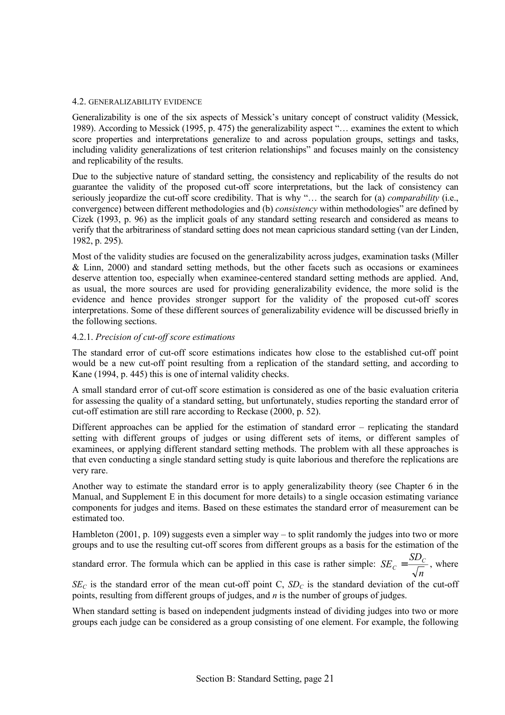#### 4.2. GENERALIZABILITY EVIDENCE

Generalizability is one of the six aspects of Messick's unitary concept of construct validity (Messick, 1989). According to Messick (1995, p. 475) the generalizability aspect  $\cdot$ ... examines the extent to which score properties and interpretations generalize to and across population groups, settings and tasks, including validity generalizations of test criterion relationshipsî and focuses mainly on the consistency and replicability of the results.

Due to the subjective nature of standard setting, the consistency and replicability of the results do not guarantee the validity of the proposed cut-off score interpretations, but the lack of consistency can seriously jeopardize the cut-off score credibility. That is why "... the search for (a) *comparability* (i.e., convergence) between different methodologies and (b) *consistency* within methodologies<sup>7</sup> are defined by Cizek (1993, p. 96) as the implicit goals of any standard setting research and considered as means to verify that the arbitrariness of standard setting does not mean capricious standard setting (van der Linden, 1982, p. 295).

Most of the validity studies are focused on the generalizability across judges, examination tasks (Miller  $&$  Linn, 2000) and standard setting methods, but the other facets such as occasions or examinees deserve attention too, especially when examinee-centered standard setting methods are applied. And, as usual, the more sources are used for providing generalizability evidence, the more solid is the evidence and hence provides stronger support for the validity of the proposed cut-off scores interpretations. Some of these different sources of generalizability evidence will be discussed briefly in the following sections.

## 4.2.1. *Precision of cut-off score estimations*

The standard error of cut-off score estimations indicates how close to the established cut-off point would be a new cut-off point resulting from a replication of the standard setting, and according to Kane (1994, p. 445) this is one of internal validity checks.

A small standard error of cut-off score estimation is considered as one of the basic evaluation criteria for assessing the quality of a standard setting, but unfortunately, studies reporting the standard error of cut-off estimation are still rare according to Reckase (2000, p. 52).

Different approaches can be applied for the estimation of standard error  $-$  replicating the standard setting with different groups of judges or using different sets of items, or different samples of examinees, or applying different standard setting methods. The problem with all these approaches is that even conducting a single standard setting study is quite laborious and therefore the replications are very rare.

Another way to estimate the standard error is to apply generalizability theory (see Chapter 6 in the Manual, and Supplement E in this document for more details) to a single occasion estimating variance components for judges and items. Based on these estimates the standard error of measurement can be estimated too.

Hambleton (2001, p. 109) suggests even a simpler way  $-$  to split randomly the judges into two or more groups and to use the resulting cut-off scores from different groups as a basis for the estimation of the

standard error. The formula which can be applied in this case is rather simple: *n*  $SE_C = \frac{SD_C}{\sqrt{}}$ , where

 $SE_C$  is the standard error of the mean cut-off point C,  $SD_C$  is the standard deviation of the cut-off points, resulting from different groups of judges, and *n* is the number of groups of judges.

When standard setting is based on independent judgments instead of dividing judges into two or more groups each judge can be considered as a group consisting of one element. For example, the following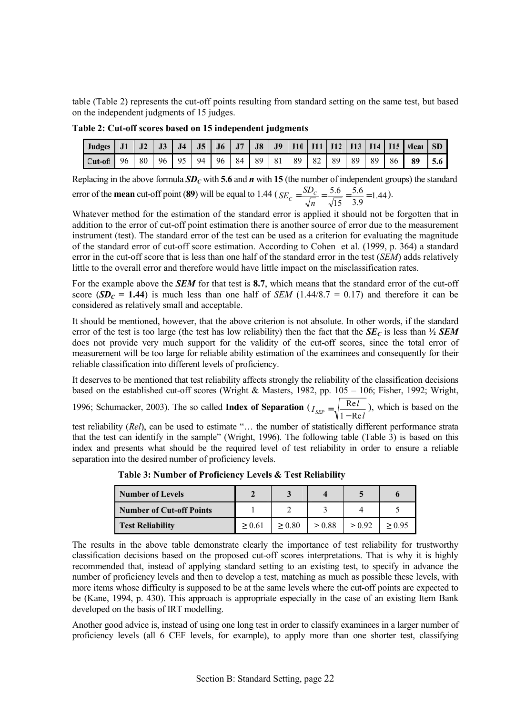table (Table 2) represents the cut-off points resulting from standard setting on the same test, but based on the independent judgments of 15 judges.

**Table 2: Cut-off scores based on 15 independent judgments** 

| Judges $J1$         | J2 | J3 | J <sub>4</sub> | $\vert$ J5 | $\parallel$ J6 | $\blacksquare$ J7 | J8 | $\vert$ J9 |                |    |                 |    |    |       | J10   J11   J12   J13   J14   J15   Mear   SD |     |
|---------------------|----|----|----------------|------------|----------------|-------------------|----|------------|----------------|----|-----------------|----|----|-------|-----------------------------------------------|-----|
| $\text{Cut-off}$ 96 | 80 |    | 96   95   94   |            | 96 84          |                   | 89 | 81         | $\frac{89}{ }$ | 82 | 89 <sup>1</sup> | 89 | 89 | 86 89 |                                               | 5.6 |

Replacing in the above formula  $SD<sub>C</sub>$  with 5.6 and  $n$  with 15 (the number of independent groups) the standard 5.6

error of the **mean** cut-off point (89) will be equal to 1.44 ( $SE_c = \frac{5DC}{\sqrt{1.5}} = \frac{5.6}{2.8} = 1.44$ 3.9  $SE_C = \frac{SD_C}{\sqrt{n}} = \frac{5.6}{\sqrt{15}} = \frac{5.6}{3.9} = 1.44$ .

Whatever method for the estimation of the standard error is applied it should not be forgotten that in addition to the error of cut-off point estimation there is another source of error due to the measurement instrument (test). The standard error of the test can be used as a criterion for evaluating the magnitude of the standard error of cut-off score estimation. According to Cohen et al. (1999, p. 364) a standard error in the cut-off score that is less than one half of the standard error in the test (*SEM*) adds relatively little to the overall error and therefore would have little impact on the misclassification rates.

For the example above the *SEM* for that test is **8.7**, which means that the standard error of the cut-off score ( $SD<sub>C</sub> = 1.44$ ) is much less than one half of *SEM* (1.44/8.7 = 0.17) and therefore it can be considered as relatively small and acceptable.

It should be mentioned, however, that the above criterion is not absolute. In other words, if the standard error of the test is too large (the test has low reliability) then the fact that the  $S\mathbf{E}_c$  is less than  $\frac{1}{2}$  **SEM** does not provide very much support for the validity of the cut-off scores, since the total error of measurement will be too large for reliable ability estimation of the examinees and consequently for their reliable classification into different levels of proficiency.

It deserves to be mentioned that test reliability affects strongly the reliability of the classification decisions based on the established cut-off scores (Wright & Masters, 1982, pp.  $105 - 106$ ; Fisher, 1992; Wright, 1996; Schumacker, 2003). The so called **Index of Separation** (  $I_{\textit{SEP}} = \sqrt{\frac{\textit{Re}l}{1 - \textit{Re}l}}$ , which is based on the

test reliability (*Rel*), can be used to estimate "... the number of statistically different performance strata that the test can identify in the sample" (Wright, 1996). The following table (Table 3) is based on this index and presents what should be the required level of test reliability in order to ensure a reliable separation into the desired number of proficiency levels.

| <b>Number of Levels</b>  |        |        |        |        |        |
|--------------------------|--------|--------|--------|--------|--------|
| Number of Cut-off Points |        |        |        |        |        |
| <b>Test Reliability</b>  | > 0.61 | > 0.80 | > 0.88 | > 0.92 | > 0.95 |

 **Table 3: Number of Proficiency Levels & Test Reliability** 

The results in the above table demonstrate clearly the importance of test reliability for trustworthy classification decisions based on the proposed cut-off scores interpretations. That is why it is highly recommended that, instead of applying standard setting to an existing test, to specify in advance the number of proficiency levels and then to develop a test, matching as much as possible these levels, with more items whose difficulty is supposed to be at the same levels where the cut-off points are expected to be (Kane, 1994, p. 430). This approach is appropriate especially in the case of an existing Item Bank developed on the basis of IRT modelling.

Another good advice is, instead of using one long test in order to classify examinees in a larger number of proficiency levels (all 6 CEF levels, for example), to apply more than one shorter test, classifying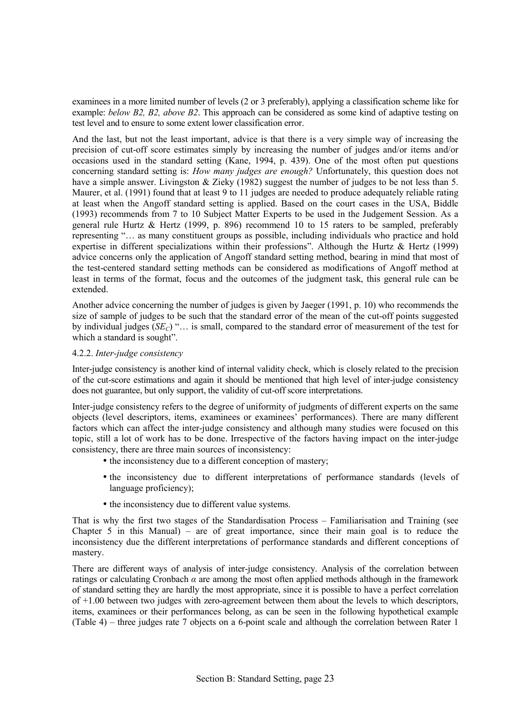examinees in a more limited number of levels (2 or 3 preferably), applying a classification scheme like for example: *below B2, B2, above B2*. This approach can be considered as some kind of adaptive testing on test level and to ensure to some extent lower classification error.

And the last, but not the least important, advice is that there is a very simple way of increasing the precision of cut-off score estimates simply by increasing the number of judges and/or items and/or occasions used in the standard setting (Kane, 1994, p. 439). One of the most often put questions concerning standard setting is: *How many judges are enough?* Unfortunately, this question does not have a simple answer. Livingston & Zieky (1982) suggest the number of judges to be not less than 5. Maurer, et al. (1991) found that at least 9 to 11 judges are needed to produce adequately reliable rating at least when the Angoff standard setting is applied. Based on the court cases in the USA, Biddle (1993) recommends from 7 to 10 Subject Matter Experts to be used in the Judgement Session. As a general rule Hurtz & Hertz (1999, p. 896) recommend 10 to 15 raters to be sampled, preferably representing "... as many constituent groups as possible, including individuals who practice and hold expertise in different specializations within their professions". Although the Hurtz  $\&$  Hertz (1999) advice concerns only the application of Angoff standard setting method, bearing in mind that most of the test-centered standard setting methods can be considered as modifications of Angoff method at least in terms of the format, focus and the outcomes of the judgment task, this general rule can be extended.

Another advice concerning the number of judges is given by Jaeger (1991, p. 10) who recommends the size of sample of judges to be such that the standard error of the mean of the cut-off points suggested by individual judges  $(SE_C)$  " $\dots$  is small, compared to the standard error of measurement of the test for which a standard is sought".

## 4.2.2. *Inter-judge consistency*

Inter-judge consistency is another kind of internal validity check, which is closely related to the precision of the cut-score estimations and again it should be mentioned that high level of inter-judge consistency does not guarantee, but only support, the validity of cut-off score interpretations.

Inter-judge consistency refers to the degree of uniformity of judgments of different experts on the same objects (level descriptors, items, examinees or examineesí performances). There are many different factors which can affect the inter-judge consistency and although many studies were focused on this topic, still a lot of work has to be done. Irrespective of the factors having impact on the inter-judge consistency, there are three main sources of inconsistency:

- the inconsistency due to a different conception of mastery;
- the inconsistency due to different interpretations of performance standards (levels of language proficiency);
- the inconsistency due to different value systems.

That is why the first two stages of the Standardisation Process – Familiarisation and Training (see Chapter 5 in this Manual) – are of great importance, since their main goal is to reduce the inconsistency due the different interpretations of performance standards and different conceptions of mastery.

There are different ways of analysis of inter-judge consistency. Analysis of the correlation between ratings or calculating Cronbach  $\alpha$  are among the most often applied methods although in the framework of standard setting they are hardly the most appropriate, since it is possible to have a perfect correlation of +1.00 between two judges with zero-agreement between them about the levels to which descriptors, items, examinees or their performances belong, as can be seen in the following hypothetical example (Table 4) – three judges rate 7 objects on a 6-point scale and although the correlation between Rater 1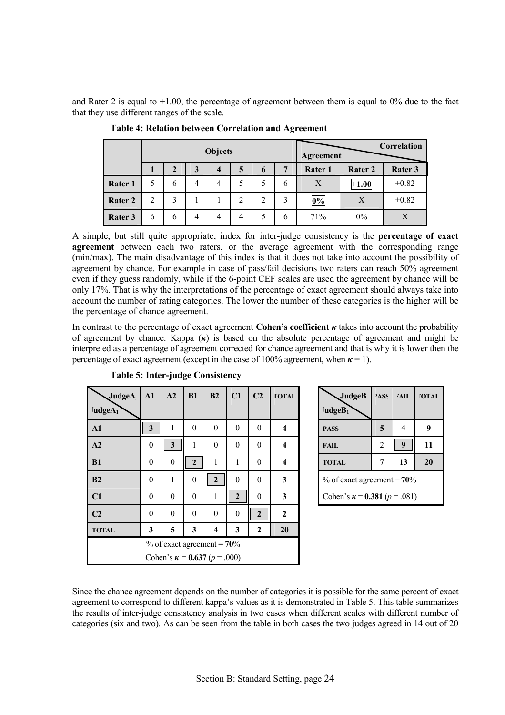and Rater 2 is equal to  $+1.00$ , the percentage of agreement between them is equal to  $0\%$  due to the fact that they use different ranges of the scale.

|         |   | <b>Objects</b><br>Agreement |                |                         |   |   |   |         | Correlation |         |
|---------|---|-----------------------------|----------------|-------------------------|---|---|---|---------|-------------|---------|
|         |   | $\overline{2}$              | 3              | $\overline{\mathbf{4}}$ | 5 | 6 | 7 | Rater 1 | Rater 2     | Rater 3 |
| Rater 1 |   | 6                           | 4              | 4                       |   |   | 6 | X       | $+1.00$     | $+0.82$ |
| Rater 2 | 2 | 3                           |                |                         | 2 | C | 3 | $0\%$   | X           | $+0.82$ |
| Rater 3 | 6 | 6                           | $\overline{4}$ | 4                       | 4 |   | 6 | 71%     | 0%          | X       |

 **Table 4: Relation between Correlation and Agreement** 

A simple, but still quite appropriate, index for inter-judge consistency is the **percentage of exact agreement** between each two raters, or the average agreement with the corresponding range (min/max). The main disadvantage of this index is that it does not take into account the possibility of agreement by chance. For example in case of pass/fail decisions two raters can reach 50% agreement even if they guess randomly, while if the 6-point CEF scales are used the agreement by chance will be only 17%. That is why the interpretations of the percentage of exact agreement should always take into account the number of rating categories. The lower the number of these categories is the higher will be the percentage of chance agreement.

In contrast to the percentage of exact agreement **Cohen's coefficient**  $\kappa$  takes into account the probability of agreement by chance. Kappa (*κ*) is based on the absolute percentage of agreement and might be interpreted as a percentage of agreement corrected for chance agreement and that is why it is lower then the percentage of exact agreement (except in the case of  $100\%$  agreement, when  $\kappa = 1$ ).

| JudgeA              | A1               | A2                      | B1             | B2                                      | C1               | C2             | <b>FOTAL</b>            | JudgeB                                  | 'ASS            | <b>AIL</b>     |
|---------------------|------------------|-------------------------|----------------|-----------------------------------------|------------------|----------------|-------------------------|-----------------------------------------|-----------------|----------------|
| IudgeA <sub>1</sub> |                  |                         |                |                                         |                  |                |                         | $\lceil \text{udgeB}_1 \rceil$          |                 |                |
| A1                  | $\mathbf{3}$     | 1                       | $\theta$       | $\theta$                                | $\theta$         | $\theta$       | $\overline{\mathbf{4}}$ | <b>PASS</b>                             | $5\phantom{.0}$ | $\overline{4}$ |
| A2                  | $\boldsymbol{0}$ | $\overline{\mathbf{3}}$ | 1              | $\theta$                                | $\theta$         | $\theta$       | $\overline{\mathbf{4}}$ | <b>FAIL</b>                             | $\overline{2}$  | 9              |
| B1                  | $\mathbf{0}$     | $\theta$                | $\overline{2}$ | 1                                       | $\mathbf{1}$     | $\theta$       | $\overline{\mathbf{4}}$ | <b>TOTAL</b>                            | 7               | 13             |
| B2                  | $\boldsymbol{0}$ | 1                       | $\theta$       | $\overline{2}$                          | $\theta$         | $\theta$       | $\mathbf{3}$            | $\%$ of exact agreement = 70%           |                 |                |
| C1                  | $\boldsymbol{0}$ | $\theta$                | $\theta$       | $\mathbf{1}$                            | $\mathbf{2}$     | $\theta$       | $\mathbf{3}$            | Cohen's $\kappa = 0.381$ ( $p = .081$ ) |                 |                |
| C <sub>2</sub>      | $\theta$         | $\theta$                | $\Omega$       | $\theta$                                | $\boldsymbol{0}$ | $\overline{2}$ | $\mathbf{2}$            |                                         |                 |                |
| <b>TOTAL</b>        | 3                | 5                       | 3              | $\overline{\mathbf{4}}$                 | 3                | $\mathbf{2}$   | 20                      |                                         |                 |                |
|                     |                  |                         |                | $\%$ of exact agreement = 70%           |                  |                |                         |                                         |                 |                |
|                     |                  |                         |                | Cohen's $\kappa = 0.637$ ( $p = .000$ ) |                  |                |                         |                                         |                 |                |

| <b>Table 5: Inter-judge Consistency</b> |  |
|-----------------------------------------|--|
|-----------------------------------------|--|

| $\sqrt{J}$ udge $B$<br>$\lceil \text{udgeB}_1 \rceil$ | 'ASS | ₹АIL             | <b>TOTAL</b> |
|-------------------------------------------------------|------|------------------|--------------|
| <b>PASS</b>                                           | 5    |                  | 9            |
| <b>FAIL</b>                                           | 2    | $\boldsymbol{Q}$ | 11           |
| <b>TOTAL</b>                                          |      | 13               | 20           |
| $\%$ of exact agreement = 70%                         |      |                  |              |
| Cohen's $\kappa = 0.381$ ( $p = .081$ )               |      |                  |              |

Since the chance agreement depends on the number of categories it is possible for the same percent of exact agreement to correspond to different kappa's values as it is demonstrated in Table 5. This table summarizes the results of inter-judge consistency analysis in two cases when different scales with different number of categories (six and two). As can be seen from the table in both cases the two judges agreed in 14 out of 20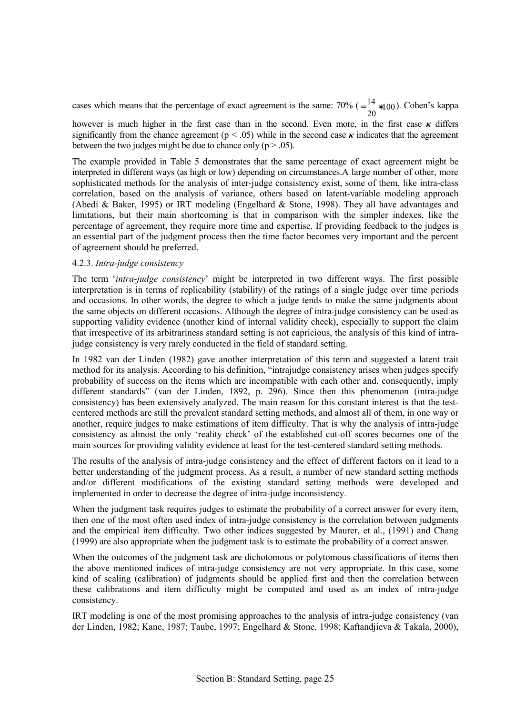cases which means that the percentage of exact agreement is the same:  $70\%$  ( $=\frac{14}{20}*100$ ). Cohen's kappa

however is much higher in the first case than in the second. Even more, in the first case *κ* differs significantly from the chance agreement ( $p < .05$ ) while in the second case  $\kappa$  indicates that the agreement between the two judges might be due to chance only ( $p > .05$ ).

The example provided in Table 5 demonstrates that the same percentage of exact agreement might be interpreted in different ways (as high or low) depending on circumstances.A large number of other, more sophisticated methods for the analysis of inter-judge consistency exist, some of them, like intra-class correlation, based on the analysis of variance, others based on latent-variable modeling approach (Abedi & Baker, 1995) or IRT modeling (Engelhard & Stone, 1998). They all have advantages and limitations, but their main shortcoming is that in comparison with the simpler indexes, like the percentage of agreement, they require more time and expertise. If providing feedback to the judges is an essential part of the judgment process then the time factor becomes very important and the percent of agreement should be preferred.

## 4.2.3. *Intra-judge consistency*

The term ë*intra-judge consistency*í might be interpreted in two different ways. The first possible interpretation is in terms of replicability (stability) of the ratings of a single judge over time periods and occasions. In other words, the degree to which a judge tends to make the same judgments about the same objects on different occasions. Although the degree of intra-judge consistency can be used as supporting validity evidence (another kind of internal validity check), especially to support the claim that irrespective of its arbitrariness standard setting is not capricious, the analysis of this kind of intrajudge consistency is very rarely conducted in the field of standard setting.

In 1982 van der Linden (1982) gave another interpretation of this term and suggested a latent trait method for its analysis. According to his definition, "intrajudge consistency arises when judges specify probability of success on the items which are incompatible with each other and, consequently, imply different standards" (van der Linden, 1892, p. 296). Since then this phenomenon (intra-judge consistency) has been extensively analyzed. The main reason for this constant interest is that the testcentered methods are still the prevalent standard setting methods, and almost all of them, in one way or another, require judges to make estimations of item difficulty. That is why the analysis of intra-judge consistency as almost the only 'reality check' of the established cut-off scores becomes one of the main sources for providing validity evidence at least for the test-centered standard setting methods.

The results of the analysis of intra-judge consistency and the effect of different factors on it lead to a better understanding of the judgment process. As a result, a number of new standard setting methods and/or different modifications of the existing standard setting methods were developed and implemented in order to decrease the degree of intra-judge inconsistency.

When the judgment task requires judges to estimate the probability of a correct answer for every item, then one of the most often used index of intra-judge consistency is the correlation between judgments and the empirical item difficulty. Two other indices suggested by Maurer, et al., (1991) and Chang (1999) are also appropriate when the judgment task is to estimate the probability of a correct answer.

When the outcomes of the judgment task are dichotomous or polytomous classifications of items then the above mentioned indices of intra-judge consistency are not very appropriate. In this case, some kind of scaling (calibration) of judgments should be applied first and then the correlation between these calibrations and item difficulty might be computed and used as an index of intra-judge consistency.

IRT modeling is one of the most promising approaches to the analysis of intra-judge consistency (van der Linden, 1982; Kane, 1987; Taube, 1997; Engelhard & Stone, 1998; Kaftandjieva & Takala, 2000),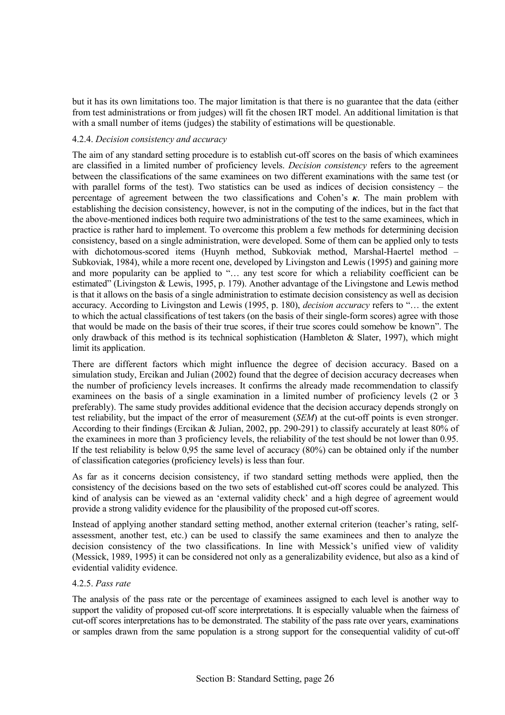but it has its own limitations too. The major limitation is that there is no guarantee that the data (either from test administrations or from judges) will fit the chosen IRT model. An additional limitation is that with a small number of items (judges) the stability of estimations will be questionable.

## 4.2.4. *Decision consistency and accuracy*

The aim of any standard setting procedure is to establish cut-off scores on the basis of which examinees are classified in a limited number of proficiency levels. *Decision consistency* refers to the agreement between the classifications of the same examinees on two different examinations with the same test (or with parallel forms of the test). Two statistics can be used as indices of decision consistency  $-$  the percentage of agreement between the two classifications and Cohenís *κ*. The main problem with establishing the decision consistency, however, is not in the computing of the indices, but in the fact that the above-mentioned indices both require two administrations of the test to the same examinees, which in practice is rather hard to implement. To overcome this problem a few methods for determining decision consistency, based on a single administration, were developed. Some of them can be applied only to tests with dichotomous-scored items (Huynh method, Subkoviak method, Marshal-Haertel method – Subkoviak, 1984), while a more recent one, developed by Livingston and Lewis (1995) and gaining more and more popularity can be applied to "... any test score for which a reliability coefficient can be estimated" (Livingston  $\&$  Lewis, 1995, p. 179). Another advantage of the Livingstone and Lewis method is that it allows on the basis of a single administration to estimate decision consistency as well as decision accuracy. According to Livingston and Lewis (1995, p. 180), *decision accuracy* refers to "... the extent to which the actual classifications of test takers (on the basis of their single-form scores) agree with those that would be made on the basis of their true scores, if their true scores could somehow be knownî. The only drawback of this method is its technical sophistication (Hambleton  $\&$  Slater, 1997), which might limit its application.

There are different factors which might influence the degree of decision accuracy. Based on a simulation study, Ercikan and Julian (2002) found that the degree of decision accuracy decreases when the number of proficiency levels increases. It confirms the already made recommendation to classify examinees on the basis of a single examination in a limited number of proficiency levels (2 or 3 preferably). The same study provides additional evidence that the decision accuracy depends strongly on test reliability, but the impact of the error of measurement (*SEM*) at the cut-off points is even stronger. According to their findings (Ercikan & Julian, 2002, pp. 290-291) to classify accurately at least 80% of the examinees in more than 3 proficiency levels, the reliability of the test should be not lower than 0.95. If the test reliability is below 0,95 the same level of accuracy (80%) can be obtained only if the number of classification categories (proficiency levels) is less than four.

As far as it concerns decision consistency, if two standard setting methods were applied, then the consistency of the decisions based on the two sets of established cut-off scores could be analyzed. This kind of analysis can be viewed as an 'external validity check' and a high degree of agreement would provide a strong validity evidence for the plausibility of the proposed cut-off scores.

Instead of applying another standard setting method, another external criterion (teacher's rating, selfassessment, another test, etc.) can be used to classify the same examinees and then to analyze the decision consistency of the two classifications. In line with Messick's unified view of validity (Messick, 1989, 1995) it can be considered not only as a generalizability evidence, but also as a kind of evidential validity evidence.

## 4.2.5. *Pass rate*

The analysis of the pass rate or the percentage of examinees assigned to each level is another way to support the validity of proposed cut-off score interpretations. It is especially valuable when the fairness of cut-off scores interpretations has to be demonstrated. The stability of the pass rate over years, examinations or samples drawn from the same population is a strong support for the consequential validity of cut-off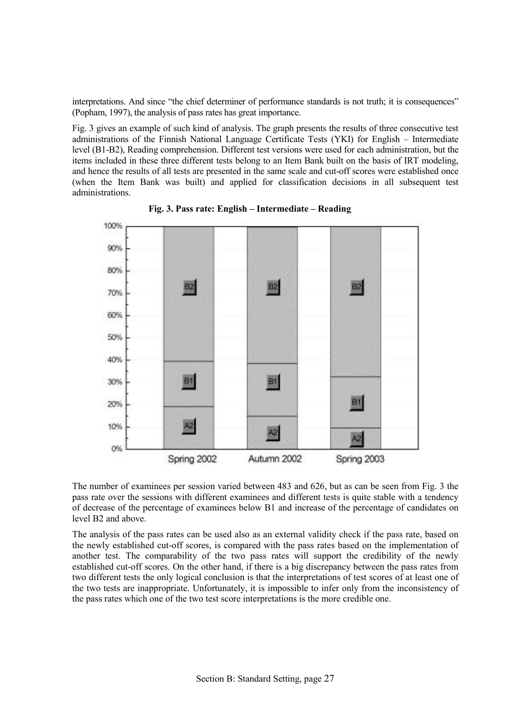interpretations. And since "the chief determiner of performance standards is not truth; it is consequences" (Popham, 1997), the analysis of pass rates has great importance.

Fig. 3 gives an example of such kind of analysis. The graph presents the results of three consecutive test administrations of the Finnish National Language Certificate Tests (YKI) for English – Intermediate level (B1-B2), Reading comprehension. Different test versions were used for each administration, but the items included in these three different tests belong to an Item Bank built on the basis of IRT modeling, and hence the results of all tests are presented in the same scale and cut-off scores were established once (when the Item Bank was built) and applied for classification decisions in all subsequent test administrations.



Fig. 3. Pass rate: English – Intermediate – Reading

The number of examinees per session varied between 483 and 626, but as can be seen from Fig. 3 the pass rate over the sessions with different examinees and different tests is quite stable with a tendency of decrease of the percentage of examinees below B1 and increase of the percentage of candidates on level B2 and above.

The analysis of the pass rates can be used also as an external validity check if the pass rate, based on the newly established cut-off scores, is compared with the pass rates based on the implementation of another test. The comparability of the two pass rates will support the credibility of the newly established cut-off scores. On the other hand, if there is a big discrepancy between the pass rates from two different tests the only logical conclusion is that the interpretations of test scores of at least one of the two tests are inappropriate. Unfortunately, it is impossible to infer only from the inconsistency of the pass rates which one of the two test score interpretations is the more credible one.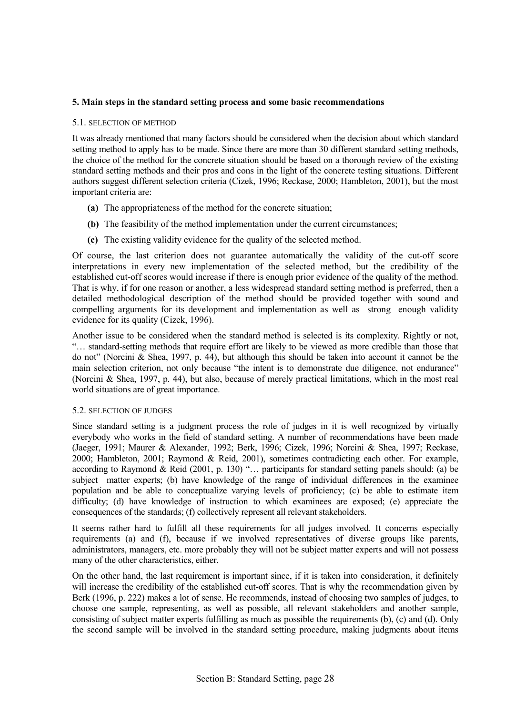## **5. Main steps in the standard setting process and some basic recommendations**

#### 5.1. SELECTION OF METHOD

It was already mentioned that many factors should be considered when the decision about which standard setting method to apply has to be made. Since there are more than 30 different standard setting methods, the choice of the method for the concrete situation should be based on a thorough review of the existing standard setting methods and their pros and cons in the light of the concrete testing situations. Different authors suggest different selection criteria (Cizek, 1996; Reckase, 2000; Hambleton, 2001), but the most important criteria are:

- **(a)** The appropriateness of the method for the concrete situation;
- **(b)** The feasibility of the method implementation under the current circumstances;
- **(c)** The existing validity evidence for the quality of the selected method.

Of course, the last criterion does not guarantee automatically the validity of the cut-off score interpretations in every new implementation of the selected method, but the credibility of the established cut-off scores would increase if there is enough prior evidence of the quality of the method. That is why, if for one reason or another, a less widespread standard setting method is preferred, then a detailed methodological description of the method should be provided together with sound and compelling arguments for its development and implementation as well as strong enough validity evidence for its quality (Cizek, 1996).

Another issue to be considered when the standard method is selected is its complexity. Rightly or not, ìÖ standard-setting methods that require effort are likely to be viewed as more credible than those that do not" (Norcini & Shea, 1997, p. 44), but although this should be taken into account it cannot be the main selection criterion, not only because "the intent is to demonstrate due diligence, not endurance" (Norcini & Shea, 1997, p. 44), but also, because of merely practical limitations, which in the most real world situations are of great importance.

#### 5.2. SELECTION OF JUDGES

Since standard setting is a judgment process the role of judges in it is well recognized by virtually everybody who works in the field of standard setting. A number of recommendations have been made (Jaeger, 1991; Maurer & Alexander, 1992; Berk, 1996; Cizek, 1996; Norcini & Shea, 1997; Reckase, 2000; Hambleton, 2001; Raymond & Reid, 2001), sometimes contradicting each other. For example, according to Raymond & Reid (2001, p. 130) " $\ldots$  participants for standard setting panels should: (a) be subject matter experts; (b) have knowledge of the range of individual differences in the examinee population and be able to conceptualize varying levels of proficiency; (c) be able to estimate item difficulty; (d) have knowledge of instruction to which examinees are exposed; (e) appreciate the consequences of the standards; (f) collectively represent all relevant stakeholders.

It seems rather hard to fulfill all these requirements for all judges involved. It concerns especially requirements (a) and (f), because if we involved representatives of diverse groups like parents, administrators, managers, etc. more probably they will not be subject matter experts and will not possess many of the other characteristics, either.

On the other hand, the last requirement is important since, if it is taken into consideration, it definitely will increase the credibility of the established cut-off scores. That is why the recommendation given by Berk (1996, p. 222) makes a lot of sense. He recommends, instead of choosing two samples of judges, to choose one sample, representing, as well as possible, all relevant stakeholders and another sample, consisting of subject matter experts fulfilling as much as possible the requirements (b), (c) and (d). Only the second sample will be involved in the standard setting procedure, making judgments about items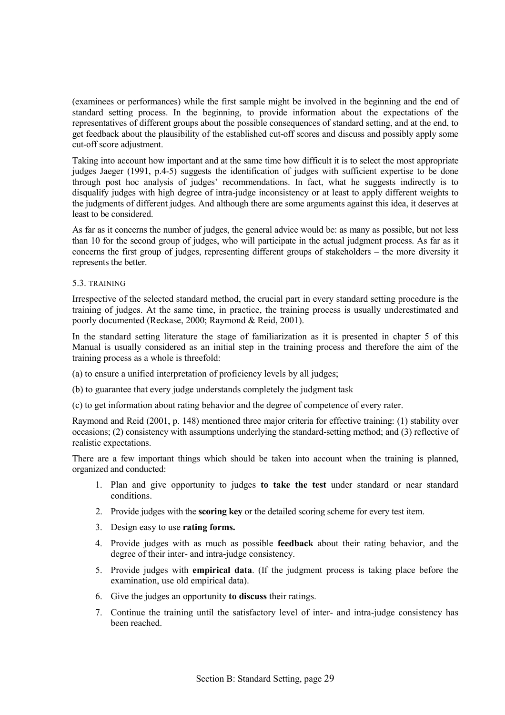(examinees or performances) while the first sample might be involved in the beginning and the end of standard setting process. In the beginning, to provide information about the expectations of the representatives of different groups about the possible consequences of standard setting, and at the end, to get feedback about the plausibility of the established cut-off scores and discuss and possibly apply some cut-off score adjustment.

Taking into account how important and at the same time how difficult it is to select the most appropriate judges Jaeger (1991, p.4-5) suggests the identification of judges with sufficient expertise to be done through post hoc analysis of judges' recommendations. In fact, what he suggests indirectly is to disqualify judges with high degree of intra-judge inconsistency or at least to apply different weights to the judgments of different judges. And although there are some arguments against this idea, it deserves at least to be considered.

As far as it concerns the number of judges, the general advice would be: as many as possible, but not less than 10 for the second group of judges, who will participate in the actual judgment process. As far as it concerns the first group of judges, representing different groups of stakeholders  $-$  the more diversity it represents the better.

## 5.3. TRAINING

Irrespective of the selected standard method, the crucial part in every standard setting procedure is the training of judges. At the same time, in practice, the training process is usually underestimated and poorly documented (Reckase, 2000; Raymond & Reid, 2001).

In the standard setting literature the stage of familiarization as it is presented in chapter 5 of this Manual is usually considered as an initial step in the training process and therefore the aim of the training process as a whole is threefold:

- (a) to ensure a unified interpretation of proficiency levels by all judges;
- (b) to guarantee that every judge understands completely the judgment task
- (c) to get information about rating behavior and the degree of competence of every rater.

Raymond and Reid (2001, p. 148) mentioned three major criteria for effective training: (1) stability over occasions; (2) consistency with assumptions underlying the standard-setting method; and (3) reflective of realistic expectations.

There are a few important things which should be taken into account when the training is planned, organized and conducted:

- 1. Plan and give opportunity to judges **to take the test** under standard or near standard conditions.
- 2. Provide judges with the **scoring key** or the detailed scoring scheme for every test item.
- 3. Design easy to use **rating forms.**
- 4. Provide judges with as much as possible **feedback** about their rating behavior, and the degree of their inter- and intra-judge consistency.
- 5. Provide judges with **empirical data**. (If the judgment process is taking place before the examination, use old empirical data).
- 6. Give the judges an opportunity **to discuss** their ratings.
- 7. Continue the training until the satisfactory level of inter- and intra-judge consistency has been reached.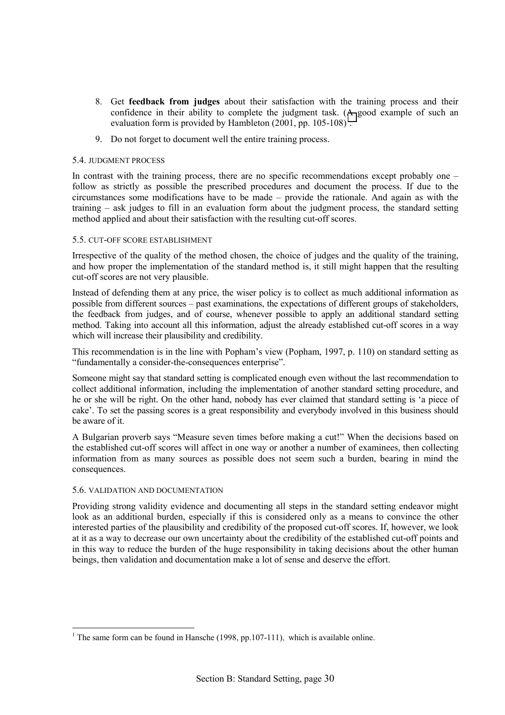- 8. Get **feedback from judges** about their satisfaction with the training process and their confidence in their ability to complete the judgment task. (A good example of such an evaluation form is provided by Hambleton  $(2001, pp. 105-108)^1$ .
- 9. Do not forget to document well the entire training process.

#### 5.4. JUDGMENT PROCESS

In contrast with the training process, there are no specific recommendations except probably one  $\overline{\phantom{a}}$ follow as strictly as possible the prescribed procedures and document the process. If due to the  $circumstances$  some modifications have to be made  $-$  provide the rationale. And again as with the training – ask judges to fill in an evaluation form about the judgment process, the standard setting method applied and about their satisfaction with the resulting cut-off scores.

## 5.5. CUT-OFF SCORE ESTABLISHMENT

Irrespective of the quality of the method chosen, the choice of judges and the quality of the training, and how proper the implementation of the standard method is, it still might happen that the resulting cut-off scores are not very plausible.

Instead of defending them at any price, the wiser policy is to collect as much additional information as possible from different sources – past examinations, the expectations of different groups of stakeholders, the feedback from judges, and of course, whenever possible to apply an additional standard setting method. Taking into account all this information, adjust the already established cut-off scores in a way which will increase their plausibility and credibility.

This recommendation is in the line with Popham's view (Popham, 1997, p. 110) on standard setting as "fundamentally a consider-the-consequences enterprise".

Someone might say that standard setting is complicated enough even without the last recommendation to collect additional information, including the implementation of another standard setting procedure, and he or she will be right. On the other hand, nobody has ever claimed that standard setting is ëa piece of cake'. To set the passing scores is a great responsibility and everybody involved in this business should be aware of it.

A Bulgarian proverb says "Measure seven times before making a cut!" When the decisions based on the established cut-off scores will affect in one way or another a number of examinees, then collecting information from as many sources as possible does not seem such a burden, bearing in mind the consequences.

#### 5.6. VALIDATION AND DOCUMENTATION

 $\overline{a}$ 

Providing strong validity evidence and documenting all steps in the standard setting endeavor might look as an additional burden, especially if this is considered only as a means to convince the other interested parties of the plausibility and credibility of the proposed cut-off scores. If, however, we look at it as a way to decrease our own uncertainty about the credibility of the established cut-off points and in this way to reduce the burden of the huge responsibility in taking decisions about the other human beings, then validation and documentation make a lot of sense and deserve the effort.

<sup>&</sup>lt;sup>1</sup> The same form can be found in Hansche (1998, pp.107-111), which is available online.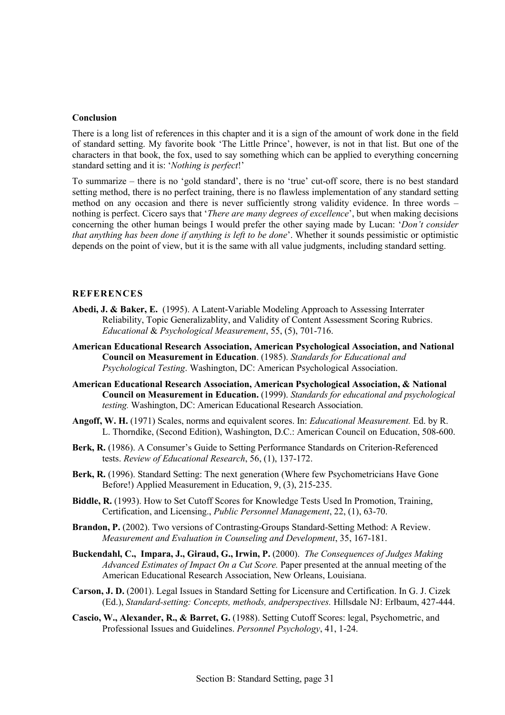#### **Conclusion**

There is a long list of references in this chapter and it is a sign of the amount of work done in the field of standard setting. My favorite book 'The Little Prince', however, is not in that list. But one of the characters in that book, the fox, used to say something which can be applied to everything concerning standard setting and it is: '*Nothing is perfect*!'

To summarize – there is no 'gold standard', there is no 'true' cut-off score, there is no best standard setting method, there is no perfect training, there is no flawless implementation of any standard setting method on any occasion and there is never sufficiently strong validity evidence. In three words  $$ nothing is perfect. Cicero says that '*There are many degrees of excellence*', but when making decisions concerning the other human beings I would prefer the other saying made by Lucan: *'Don't consider that anything has been done if anything is left to be done'*. Whether it sounds pessimistic or optimistic depends on the point of view, but it is the same with all value judgments, including standard setting.

## **REFERENCES**

- **Abedi, J. & Baker, E.** (1995). A Latent-Variable Modeling Approach to Assessing Interrater Reliability, Topic Generalizablity, and Validity of Content Assessment Scoring Rubrics. *Educational* & *Psychological Measurement*, 55, (5), 701-716.
- **American Educational Research Association, American Psychological Association, and National Council on Measurement in Education**. (1985). *Standards for Educational and Psychological Testing*. Washington, DC: American Psychological Association.
- **American Educational Research Association, American Psychological Association, & National Council on Measurement in Education.** (1999). *Standards for educational and psychological testing.* Washington, DC: American Educational Research Association.
- **Angoff, W. H.** (1971) Scales, norms and equivalent scores. In: *Educational Measurement.* Ed. by R. L. Thorndike, (Second Edition), Washington, D.C.: American Council on Education, 508-600.
- Berk, R. (1986). A Consumer's Guide to Setting Performance Standards on Criterion-Referenced tests. *Review of Educational Research*, 56, (1), 137-172.
- Berk, R. (1996). Standard Setting: The next generation (Where few Psychometricians Have Gone Before!) Applied Measurement in Education, 9, (3), 215-235.
- **Biddle, R.** (1993). How to Set Cutoff Scores for Knowledge Tests Used In Promotion, Training, Certification, and Licensing., *Public Personnel Management*, 22, (1), 63-70.
- **Brandon, P.** (2002). Two versions of Contrasting-Groups Standard-Setting Method: A Review. *Measurement and Evaluation in Counseling and Development*, 35, 167-181.
- **Buckendahl, C., Impara, J., Giraud, G., Irwin, P.** (2000). *The Consequences of Judges Making Advanced Estimates of Impact On a Cut Score.* Paper presented at the annual meeting of the American Educational Research Association, New Orleans, Louisiana.
- **Carson, J. D.** (2001). Legal Issues in Standard Setting for Licensure and Certification. In G. J. Cizek (Ed.), *Standard-setting: Concepts, methods, andperspectives.* Hillsdale NJ: Erlbaum, 427-444.
- **Cascio, W., Alexander, R., & Barret, G.** (1988). Setting Cutoff Scores: legal, Psychometric, and Professional Issues and Guidelines. *Personnel Psychology*, 41, 1-24.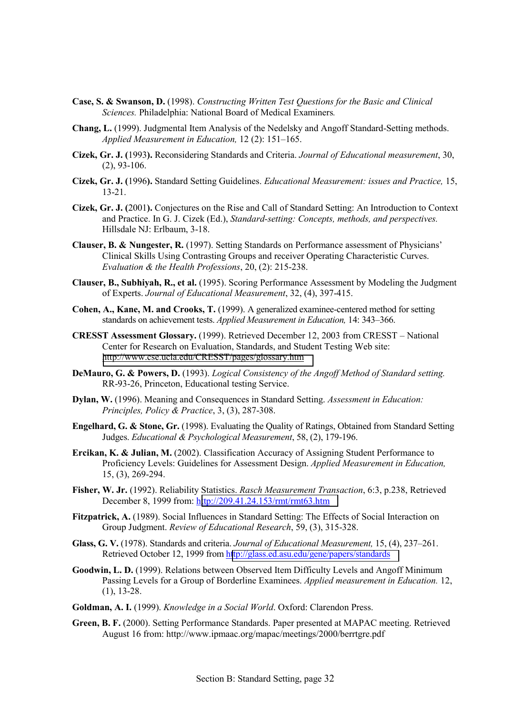- **Case, S. & Swanson, D.** (1998). *Constructing Written Test Questions for the Basic and Clinical Sciences.* Philadelphia: National Board of Medical Examiners*.*
- **Chang, L.** (1999). Judgmental Item Analysis of the Nedelsky and Angoff Standard-Setting methods. *Applied Measurement in Education, 12 (2): 151–165.*
- **Cizek, Gr. J. (**1993**).** Reconsidering Standards and Criteria. *Journal of Educational measurement*, 30, (2), 93-106.
- **Cizek, Gr. J. (**1996**).** Standard Setting Guidelines. *Educational Measurement: issues and Practice,* 15, 13-21.
- **Cizek, Gr. J. (**2001**).** Conjectures on the Rise and Call of Standard Setting: An Introduction to Context and Practice. In G. J. Cizek (Ed.), *Standard-setting: Concepts, methods, and perspectives.*  Hillsdale NJ: Erlbaum, 3-18.
- **Clauser, B. & Nungester, R.** (1997). Setting Standards on Performance assessment of Physiciansí Clinical Skills Using Contrasting Groups and receiver Operating Characteristic Curves. *Evaluation & the Health Professions*, 20, (2): 215-238.
- **Clauser, B., Subhiyah, R., et al.** (1995). Scoring Performance Assessment by Modeling the Judgment of Experts. *Journal of Educational Measurement*, 32, (4), 397-415.
- **Cohen, A., Kane, M. and Crooks, T.** (1999). A generalized examinee-centered method for setting standards on achievement tests. *Applied Measurement in Education*, 14: 343-366.
- **CRESST Assessment Glossary.** (1999). Retrieved December 12, 2003 from CRESST National Center for Research on Evaluation, Standards, and Student Testing Web site: <http://www.cse.ucla.edu/CRESST/pages/glossary.htm>
- **DeMauro, G. & Powers, D.** (1993). *Logical Consistency of the Angoff Method of Standard setting.* RR-93-26, Princeton, Educational testing Service.
- **Dylan, W.** (1996). Meaning and Consequences in Standard Setting. *Assessment in Education: Principles, Policy & Practice*, 3, (3), 287-308.
- **Engelhard, G. & Stone, Gr.** (1998). Evaluating the Quality of Ratings, Obtained from Standard Setting Judges. *Educational & Psychological Measurement*, 58, (2), 179-196.
- **Ercikan, K. & Julian, M.** (2002). Classification Accuracy of Assigning Student Performance to Proficiency Levels: Guidelines for Assessment Design. *Applied Measurement in Education,*  15, (3), 269-294.
- **Fisher, W. Jr.** (1992). Reliability Statistics. *Rasch Measurement Transaction*, 6:3, p.238, Retrieved December 8, 1999 from: h[ttp://209.41.24.153/rmt/rmt63.htm](http://209.41.24.153/rmt/rmt63.htm)
- **Fitzpatrick, A.** (1989). Social Influences in Standard Setting: The Effects of Social Interaction on Group Judgment. *Review of Educational Research*, 59, (3), 315-328.
- **Glass, G. V.** (1978). Standards and criteria. *Journal of Educational Measurement*, 15, (4), 237–261. Retrieved October 12, 1999 from h[ttp://glass.ed.asu.edu/gene/papers/standards](http://glass.ed.asu.edu/gene/papers/standards)
- **Goodwin, L. D.** (1999). Relations between Observed Item Difficulty Levels and Angoff Minimum Passing Levels for a Group of Borderline Examinees. *Applied measurement in Education.* 12, (1), 13-28.
- **Goldman, A. I.** (1999). *Knowledge in a Social World*. Oxford: Clarendon Press.
- **Green, B. F.** (2000). Setting Performance Standards. Paper presented at MAPAC meeting. Retrieved August 16 from: http://www.ipmaac.org/mapac/meetings/2000/berrtgre.pdf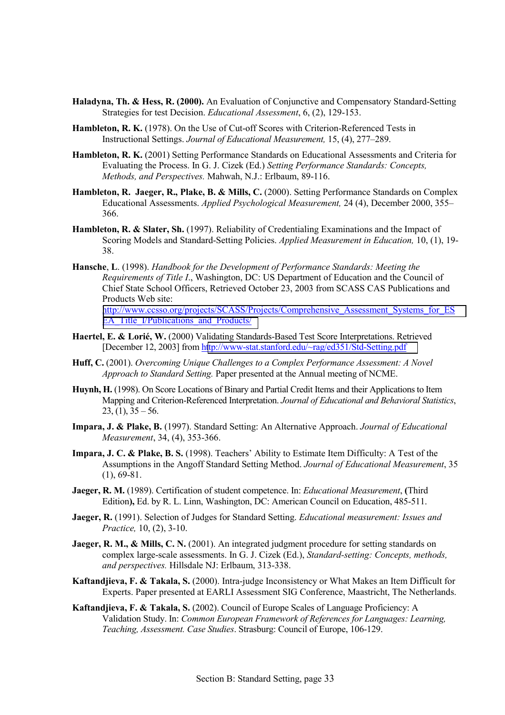- **Haladyna, Th. & Hess, R. (2000).** An Evaluation of Conjunctive and Compensatory Standard-Setting Strategies for test Decision. *Educational Assessment*, 6, (2), 129-153.
- **Hambleton, R. K.** (1978). On the Use of Cut-off Scores with Criterion-Referenced Tests in Instructional Settings. *Journal of Educational Measurement*, 15, (4), 277–289.
- **Hambleton, R. K.** (2001) Setting Performance Standards on Educational Assessments and Criteria for Evaluating the Process. In G. J. Cizek (Ed.) *Setting Performance Standards: Concepts, Methods, and Perspectives.* Mahwah, N.J.: Erlbaum, 89-116.
- Hambleton, R. Jaeger, R., Plake, B. & Mills, C. (2000). Setting Performance Standards on Complex Educational Assessments. *Applied Psychological Measurement*, 24 (4), December 2000, 355– 366.
- **Hambleton, R. & Slater, Sh.** (1997). Reliability of Credentialing Examinations and the Impact of Scoring Models and Standard-Setting Policies. *Applied Measurement in Education,* 10, (1), 19- 38.
- **Hansche**, **L**. (1998). *Handbook for the Development of Performance Standards: Meeting the Requirements of Title I*., Washington, DC: US Department of Education and the Council of Chief State School Officers, Retrieved October 23, 2003 from SCASS CAS Publications and Products Web site:

[http://www.ccsso.org/projects/SCASS/Projects/Comprehensive\\_Assessment\\_Systems\\_for\\_ES](http://www.ccsso.org/projects/SCASS/Projects/Comprehensive_Assessment_Systems_for_ESEA_Title_I/Publications_and_Products/) [EA\\_Title\\_I/Publications\\_and\\_Products/](http://www.ccsso.org/projects/SCASS/Projects/Comprehensive_Assessment_Systems_for_ESEA_Title_I/Publications_and_Products/)

- **Haertel, E. & LoriÈ, W.** (2000) Validating Standards-Based Test Score Interpretations. Retrieved [December 12, 2003] from h[ttp://www-stat.stanford.edu/~rag/ed351/Std-Setting.pdf](http://www-stat.stanford.edu/~rag/ed351/Std-Setting.pdf)
- **Huff, C.** (2001). *Overcoming Unique Challenges to a Complex Performance Assessment: A Novel Approach to Standard Setting.* Paper presented at the Annual meeting of NCME.
- **Huynh, H.** (1998). On Score Locations of Binary and Partial Credit Items and their Applications to Item Mapping and Criterion-Referenced Interpretation. *Journal of Educational and Behavioral Statistics*,  $23, (1), 35 - 56.$
- **Impara, J. & Plake, B.** (1997). Standard Setting: An Alternative Approach. *Journal of Educational Measurement*, 34, (4), 353-366.
- **Impara, J. C. & Plake, B. S.** (1998). Teachers' Ability to Estimate Item Difficulty: A Test of the Assumptions in the Angoff Standard Setting Method. *Journal of Educational Measurement*, 35 (1), 69-81.
- **Jaeger, R. M.** (1989). Certification of student competence. In: *Educational Measurement*, **(**Third Edition**),** Ed. by R. L. Linn, Washington, DC: American Council on Education, 485-511.
- **Jaeger, R.** (1991). Selection of Judges for Standard Setting. *Educational measurement: Issues and Practice,* 10, (2), 3-10.
- **Jaeger, R. M., & Mills, C. N.** (2001). An integrated judgment procedure for setting standards on complex large-scale assessments. In G. J. Cizek (Ed.), *Standard-setting: Concepts, methods, and perspectives.* Hillsdale NJ: Erlbaum, 313-338.
- **Kaftandjieva, F. & Takala, S.** (2000). Intra-judge Inconsistency or What Makes an Item Difficult for Experts. Paper presented at EARLI Assessment SIG Conference, Maastricht, The Netherlands.
- **Kaftandjieva, F. & Takala, S.** (2002). Council of Europe Scales of Language Proficiency: A Validation Study. In: *Common European Framework of References for Languages: Learning, Teaching, Assessment. Case Studies*. Strasburg: Council of Europe, 106-129.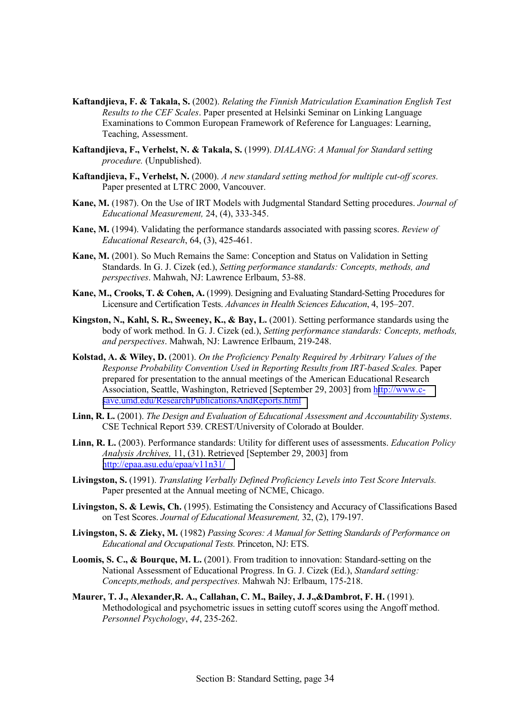- **Kaftandjieva, F. & Takala, S.** (2002). *Relating the Finnish Matriculation Examination English Test Results to the CEF Scales*. Paper presented at Helsinki Seminar on Linking Language Examinations to Common European Framework of Reference for Languages: Learning, Teaching, Assessment.
- **Kaftandjieva, F., Verhelst, N. & Takala, S.** (1999). *DIALANG*: *A Manual for Standard setting procedure.* (Unpublished).
- **Kaftandjieva, F., Verhelst, N.** (2000). *A new standard setting method for multiple cut-off scores.*  Paper presented at LTRC 2000, Vancouver.
- **Kane, M.** (1987). On the Use of IRT Models with Judgmental Standard Setting procedures. *Journal of Educational Measurement,* 24, (4), 333-345.
- **Kane, M.** (1994). Validating the performance standards associated with passing scores. *Review of Educational Research*, 64, (3), 425-461.
- **Kane, M.** (2001). So Much Remains the Same: Conception and Status on Validation in Setting Standards. In G. J. Cizek (ed.), *Setting performance standards: Concepts, methods, and perspectives*. Mahwah, NJ: Lawrence Erlbaum, 53-88.
- **Kane, M., Crooks, T. & Cohen, A.** (1999). Designing and Evaluating Standard-Setting Procedures for Licensure and Certification Tests. *Advances in Health Sciences Education*, 4, 195–207.
- **Kingston, N., Kahl, S. R., Sweeney, K., & Bay, L.** (2001). Setting performance standards using the body of work method. In G. J. Cizek (ed.), *Setting performance standards: Concepts, methods, and perspectives*. Mahwah, NJ: Lawrence Erlbaum, 219-248.
- **Kolstad, A. & Wiley, D.** (2001). *On the Proficiency Penalty Required by Arbitrary Values of the Response Probability Convention Used in Reporting Results from IRT-based Scales.* Paper prepared for presentation to the annual meetings of the American Educational Research Association, Seattle, Washington, Retrieved [September 29, 2003] from h[ttp://www.c](http://www.c-save.umd.edu/ResearchPublicationsAndReports.html)[save.umd.edu/ResearchPublicationsAndReports.html](http://www.c-save.umd.edu/ResearchPublicationsAndReports.html)
- **Linn, R. L.** (2001). *The Design and Evaluation of Educational Assessment and Accountability Systems*. CSE Technical Report 539. CREST/University of Colorado at Boulder.
- **Linn, R. L.** (2003). Performance standards: Utility for different uses of assessments. *Education Policy Analysis Archives,* 11, (31). Retrieved [September 29, 2003] from <http://epaa.asu.edu/epaa/v11n31/>
- **Livingston, S.** (1991). *Translating Verbally Defined Proficiency Levels into Test Score Intervals.* Paper presented at the Annual meeting of NCME, Chicago.
- **Livingston, S. & Lewis, Ch.** (1995). Estimating the Consistency and Accuracy of Classifications Based on Test Scores. *Journal of Educational Measurement,* 32, (2), 179-197.
- **Livingston, S. & Zieky, M.** (1982) *Passing Scores: A Manual for Setting Standards of Performance on Educational and Occupational Tests.* Princeton, NJ: ETS.
- **Loomis, S. C., & Bourque, M. L.** (2001). From tradition to innovation: Standard-setting on the National Assessment of Educational Progress. In G. J. Cizek (Ed.), *Standard setting: Concepts,methods, and perspectives.* Mahwah NJ: Erlbaum, 175-218.
- **Maurer, T. J., Alexander,R. A., Callahan, C. M., Bailey, J. J.,&Dambrot, F. H.** (1991). Methodological and psychometric issues in setting cutoff scores using the Angoff method. *Personnel Psychology*, *44*, 235-262.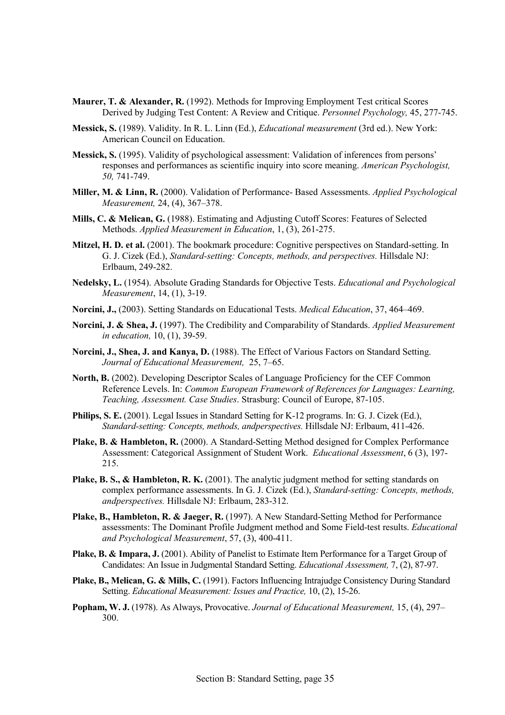- **Maurer, T. & Alexander, R.** (1992). Methods for Improving Employment Test critical Scores Derived by Judging Test Content: A Review and Critique. *Personnel Psychology,* 45, 277-745.
- **Messick, S.** (1989). Validity. In R. L. Linn (Ed.), *Educational measurement* (3rd ed.). New York: American Council on Education.
- **Messick, S.** (1995). Validity of psychological assessment: Validation of inferences from persons' responses and performances as scientific inquiry into score meaning. *American Psychologist, 50,* 741-749.
- **Miller, M. & Linn, R.** (2000). Validation of Performance- Based Assessments. *Applied Psychological Measurement, 24, (4), 367–378.*
- **Mills, C. & Melican, G.** (1988). Estimating and Adjusting Cutoff Scores: Features of Selected Methods. *Applied Measurement in Education*, 1, (3), 261-275.
- **Mitzel, H. D. et al.** (2001). The bookmark procedure: Cognitive perspectives on Standard-setting. In G. J. Cizek (Ed.), *Standard-setting: Concepts, methods, and perspectives.* Hillsdale NJ: Erlbaum, 249-282.
- **Nedelsky, L.** (1954). Absolute Grading Standards for Objective Tests. *Educational and Psychological Measurement*, 14, (1), 3-19.
- **Norcini, J.,** (2003). Setting Standards on Educational Tests. *Medical Education*, 37, 464–469.
- **Norcini, J. & Shea, J.** (1997). The Credibility and Comparability of Standards. *Applied Measurement in education,* 10, (1), 39-59.
- **Norcini, J., Shea, J. and Kanya, D.** (1988). The Effect of Various Factors on Standard Setting. *Journal of Educational Measurement, 25, 7–65.*
- **North, B.** (2002). Developing Descriptor Scales of Language Proficiency for the CEF Common Reference Levels. In: *Common European Framework of References for Languages: Learning, Teaching, Assessment. Case Studies*. Strasburg: Council of Europe, 87-105.
- **Philips, S. E.** (2001). Legal Issues in Standard Setting for K-12 programs. In: G. J. Cizek (Ed.), *Standard-setting: Concepts, methods, andperspectives.* Hillsdale NJ: Erlbaum, 411-426.
- Plake, B. & Hambleton, R. (2000). A Standard-Setting Method designed for Complex Performance Assessment: Categorical Assignment of Student Work. *Educational Assessment*, 6 (3), 197- 215.
- Plake, B. S., & Hambleton, R. K. (2001). The analytic judgment method for setting standards on complex performance assessments. In G. J. Cizek (Ed.), *Standard-setting: Concepts, methods, andperspectives.* Hillsdale NJ: Erlbaum, 283-312.
- **Plake, B., Hambleton, R. & Jaeger, R.** (1997). A New Standard-Setting Method for Performance assessments: The Dominant Profile Judgment method and Some Field-test results. *Educational and Psychological Measurement*, 57, (3), 400-411.
- Plake, B. & Impara, J. (2001). Ability of Panelist to Estimate Item Performance for a Target Group of Candidates: An Issue in Judgmental Standard Setting. *Educational Assessment,* 7, (2), 87-97.
- **Plake, B., Melican, G. & Mills, C.** (1991). Factors Influencing Intrajudge Consistency During Standard Setting. *Educational Measurement: Issues and Practice,* 10, (2), 15-26.
- **Popham, W. J.** (1978). As Always, Provocative. *Journal of Educational Measurement*, 15, (4), 297– 300.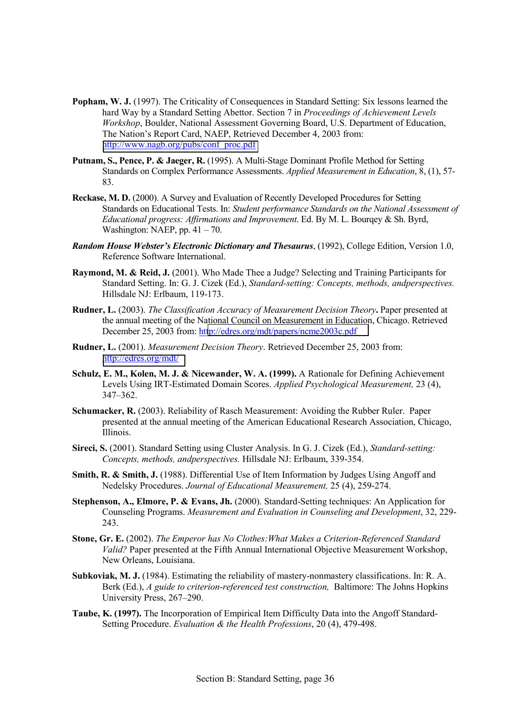- **Popham, W. J.** (1997). The Criticality of Consequences in Standard Setting: Six lessons learned the hard Way by a Standard Setting Abettor. Section 7 in *Proceedings of Achievement Levels Workshop*, Boulder, National Assessment Governing Board, U.S. Department of Education, The Nation's Report Card, NAEP, Retrieved December 4, 2003 from: [http://www.nagb.org/pubs/conf\\_proc.pdf](http://www.nagb.org/pubs/conf_proc.pdf)
- **Putnam, S., Pence, P. & Jaeger, R.** (1995). A Multi-Stage Dominant Profile Method for Setting Standards on Complex Performance Assessments. *Applied Measurement in Education*, 8, (1), 57- 83.
- **Reckase, M. D.** (2000). A Survey and Evaluation of Recently Developed Procedures for Setting Standards on Educational Tests. In: *Student performance Standards on the National Assessment of Educational progress: Affirmations and Improvement*. Ed. By M. L. Bourqey & Sh. Byrd, Washington: NAEP, pp.  $41 - 70$ .
- *Random House Webster's Electronic Dictionary and Thesaurus*, (1992), College Edition, Version 1.0, Reference Software International.
- **Raymond, M. & Reid, J.** (2001). Who Made Thee a Judge? Selecting and Training Participants for Standard Setting. In: G. J. Cizek (Ed.), *Standard-setting: Concepts, methods, andperspectives.*  Hillsdale NJ: Erlbaum, 119-173.
- **Rudner, L.** (2003). *The Classification Accuracy of Measurement Decision Theory***.** Paper presented at the annual meeting of the National Council on Measurement in Education, Chicago. Retrieved December 25, 2003 from: ht[tp://edres.org/mdt/papers/ncme2003c.pdf](http://edres.org/mdt/papers/ncme2003c.pdf)
- **Rudner, L.** (2001). *Measurement Decision Theory*. Retrieved December 25, 2003 from: <http://edres.org/mdt/>
- **Schulz, E. M., Kolen, M. J. & Nicewander, W. A. (1999).** A Rationale for Defining Achievement Levels Using IRT-Estimated Domain Scores. *Applied Psychological Measurement,* 23 (4),  $347 - 362$ .
- **Schumacker, R.** (2003). Reliability of Rasch Measurement: Avoiding the Rubber Ruler. Paper presented at the annual meeting of the American Educational Research Association, Chicago, Illinois.
- **Sireci, S.** (2001). Standard Setting using Cluster Analysis. In G. J. Cizek (Ed.), *Standard-setting: Concepts, methods, andperspectives.* Hillsdale NJ: Erlbaum, 339-354.
- **Smith, R. & Smith, J.** (1988). Differential Use of Item Information by Judges Using Angoff and Nedelsky Procedures. *Journal of Educational Measurement,* 25 (4), 259-274.
- **Stephenson, A., Elmore, P. & Evans, Jh.** (2000). Standard-Setting techniques: An Application for Counseling Programs. *Measurement and Evaluation in Counseling and Development*, 32, 229- 243.
- **Stone, Gr. E.** (2002). *The Emperor has No Clothes:What Makes a Criterion-Referenced Standard Valid?* Paper presented at the Fifth Annual International Objective Measurement Workshop, New Orleans, Louisiana.
- **Subkoviak, M. J.** (1984). Estimating the reliability of mastery-nonmastery classifications. In: R. A. Berk (Ed.), *A guide to criterion-referenced test construction,* Baltimore: The Johns Hopkins University Press, 267–290.
- **Taube, K. (1997).** The Incorporation of Empirical Item Difficulty Data into the Angoff Standard-Setting Procedure. *Evaluation & the Health Professions*, 20 (4), 479-498.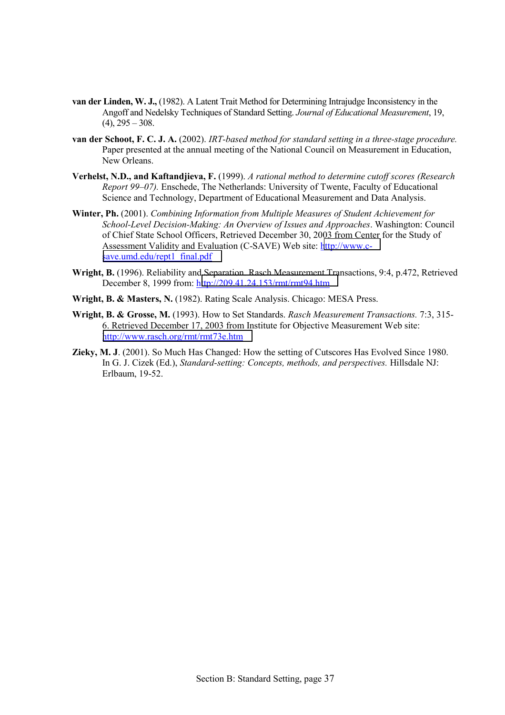- **van der Linden, W. J.,** (1982). A Latent Trait Method for Determining Intrajudge Inconsistency in the Angoff and Nedelsky Techniques of Standard Setting. *Journal of Educational Measurement*, 19,  $(4)$ ,  $295 - 308$ .
- **van der Schoot, F. C. J. A.** (2002). *IRT-based method for standard setting in a three-stage procedure.* Paper presented at the annual meeting of the National Council on Measurement in Education, New Orleans.
- **Verhelst, N.D., and Kaftandjieva, F.** (1999). *A rational method to determine cutoff scores (Research Report 99–07).* Enschede, The Netherlands: University of Twente, Faculty of Educational Science and Technology, Department of Educational Measurement and Data Analysis.
- **Winter, Ph.** (2001). *Combining Information from Multiple Measures of Student Achievement for School-Level Decision-Making: An Overview of Issues and Approaches*. Washington: Council of Chief State School Officers, Retrieved December 30, 2003 from Center for the Study of Assessment Validity and Evaluation (C-SAVE) Web site: [http://www.c](http://www.c-save.umd.edu/rept1_final.pdf)[save.umd.edu/rept1\\_final.pdf](http://www.c-save.umd.edu/rept1_final.pdf)
- **Wright, B.** (1996). Reliability and Separation. Rasch Measurement Transactions, 9:4, p.472, Retrieved December 8, 1999 from: h[ttp://209.41.24.153/rmt/rmt94.htm](http://209.41.24.153/rmt/rmt94.htm)
- **Wright, B. & Masters, N.** (1982). Rating Scale Analysis. Chicago: MESA Press.
- **Wright, B. & Grosse, M.** (1993). How to Set Standards. *Rasch Measurement Transactions.* 7:3, 315- 6. Retrieved December 17, 2003 from Institute for Objective Measurement Web site: <http://www.rasch.org/rmt/rmt73e.htm>
- **Zieky, M. J**. (2001). So Much Has Changed: How the setting of Cutscores Has Evolved Since 1980. In G. J. Cizek (Ed.), *Standard-setting: Concepts, methods, and perspectives.* Hillsdale NJ: Erlbaum, 19-52.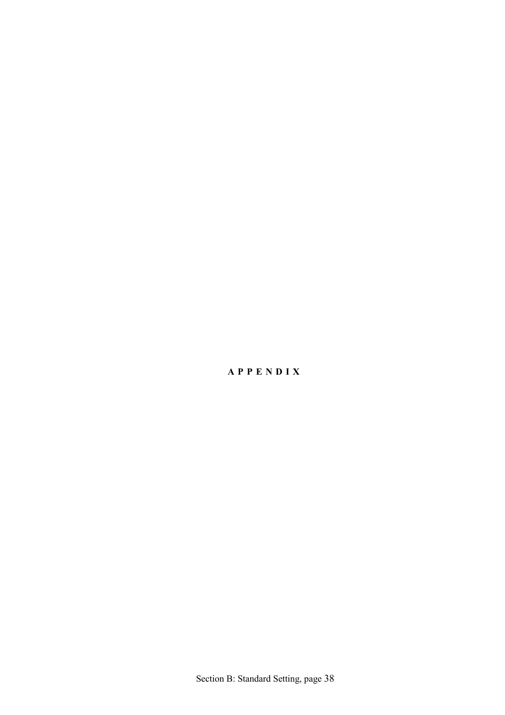## **APPENDIX**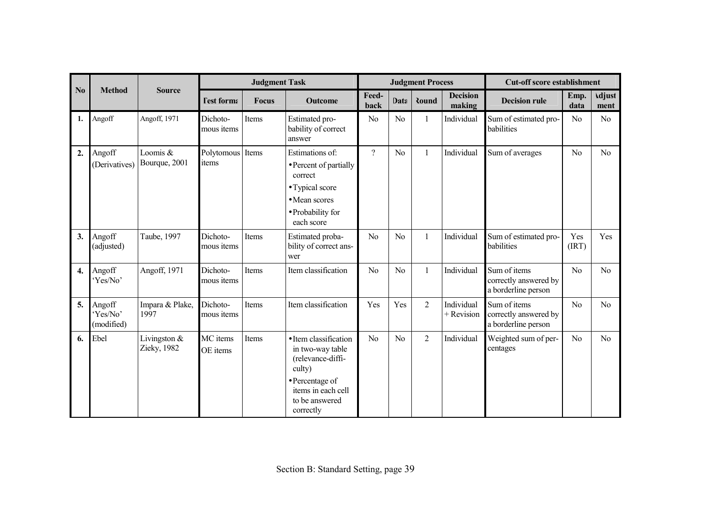|                  |                                  |                               |                        | <b>Judgment Task</b> |                                                                                                                                                  |                |                | <b>Judgment Process</b> |                           | <b>Cut-off score establishment</b>                           |                |                       |
|------------------|----------------------------------|-------------------------------|------------------------|----------------------|--------------------------------------------------------------------------------------------------------------------------------------------------|----------------|----------------|-------------------------|---------------------------|--------------------------------------------------------------|----------------|-----------------------|
| N <sub>0</sub>   | <b>Method</b>                    | <b>Source</b>                 | <b>Test forma</b>      | <b>Focus</b>         | <b>Outcome</b>                                                                                                                                   | Feed-<br>back  | Data           | <b>Round</b>            | <b>Decision</b><br>making | <b>Decision rule</b>                                         | Emp.<br>data   | <b>Adjust</b><br>ment |
| 1.               | Angoff                           | Angoff, 1971                  | Dichoto-<br>mous items | Items                | Estimated pro-<br>bability of correct<br>answer                                                                                                  | N <sub>o</sub> | N <sub>0</sub> | $\mathbf{1}$            | Individual                | Sum of estimated pro-<br>babilities                          | N <sub>0</sub> | N <sub>o</sub>        |
| 2.               | Angoff<br>(Derivatives)          | Loomis &<br>Bourque, 2001     | Polytomous<br>items    | Items                | Estimations of:<br>• Percent of partially<br>correct<br>• Typical score<br>• Mean scores<br>• Probability for<br>each score                      | $\gamma$       | N <sub>o</sub> | $\mathbf{1}$            | Individual                | Sum of averages                                              | No             | N <sub>o</sub>        |
| 3.               | Angoff<br>(adjusted)             | Taube, 1997                   | Dichoto-<br>mous items | Items                | Estimated proba-<br>bility of correct ans-<br>wer                                                                                                | N <sub>o</sub> | N <sub>0</sub> | $\mathbf{1}$            | Individual                | Sum of estimated pro-<br>babilities                          | Yes<br>(IRT)   | Yes                   |
| $\overline{4}$ . | Angoff<br>'Yes/No'               | Angoff, 1971                  | Dichoto-<br>mous items | Items                | Item classification                                                                                                                              | N <sub>o</sub> | N <sub>0</sub> | $\mathbf{1}$            | Individual                | Sum of items<br>correctly answered by<br>a borderline person | N <sub>o</sub> | No                    |
| 5.               | Angoff<br>'Yes/No'<br>(modified) | Impara & Plake,<br>1997       | Dichoto-<br>mous items | Items                | Item classification                                                                                                                              | Yes            | Yes            | $\overline{2}$          | Individual<br>+ Revision  | Sum of items<br>correctly answered by<br>a borderline person | No             | No                    |
| 6.               | Ebel                             | Livingston $&$<br>Zieky, 1982 | MC items<br>OE items   | Items                | • Item classification<br>in two-way table<br>(relevance-diffi-<br>culty)<br>• Percentage of<br>items in each cell<br>to be answered<br>correctly | No             | No             | $\overline{2}$          | Individual                | Weighted sum of per-<br>centages                             | No             | N <sub>o</sub>        |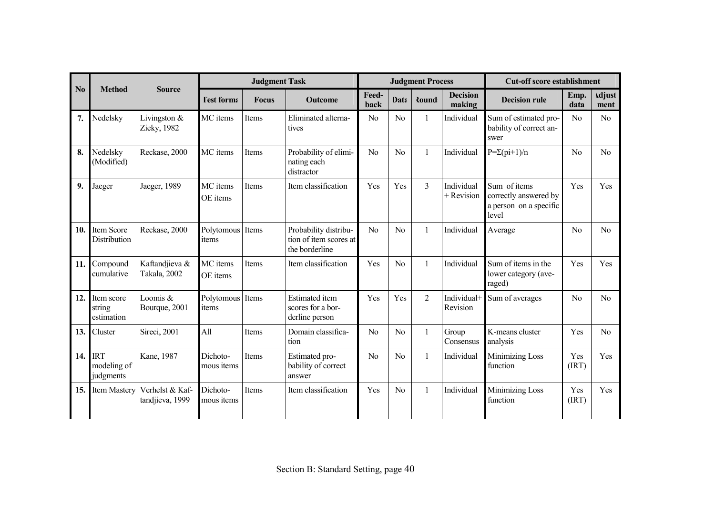|                |                                        |                                    |                               | <b>Judgment Task</b> |                                                                   |                |                | <b>Judgment Process</b> |                           | <b>Cut-off score establishment</b>                                       |                |                       |
|----------------|----------------------------------------|------------------------------------|-------------------------------|----------------------|-------------------------------------------------------------------|----------------|----------------|-------------------------|---------------------------|--------------------------------------------------------------------------|----------------|-----------------------|
| N <sub>0</sub> | <b>Method</b>                          | <b>Source</b>                      | <b>Test forma</b>             | <b>Focus</b>         | <b>Outcome</b>                                                    |                | Data           | Round                   | <b>Decision</b><br>making | <b>Decision rule</b>                                                     | Emp.<br>data   | <b>Adjust</b><br>ment |
| 7.             | Nedelsky                               | Livingston $&$<br>Zieky, 1982      | MC items                      | Items                | Eliminated alterna-<br>tives                                      | N <sub>o</sub> | No             | 1                       | Individual                | Sum of estimated pro-<br>bability of correct an-<br>swer                 | No             | No                    |
| 8.             | Nedelsky<br>(Modified)                 | Reckase, 2000                      | MC items                      | Items                | Probability of elimi-<br>nating each<br>distractor                | N <sub>o</sub> | No             | 1                       | Individual                | $P=\Sigma$ (pi+1)/n                                                      | No             | N <sub>o</sub>        |
| 9.             | Jaeger                                 | Jaeger, 1989                       | MC items<br>OE items          | Items                | Item classification                                               | Yes            | Yes            | $\overline{3}$          | Individual<br>+ Revision  | Sum of items<br>correctly answered by<br>a person on a specific<br>level | Yes            | Yes                   |
| 10.            | Item Score<br><b>Distribution</b>      | Reckase, 2000                      | Polytomous Items<br>items     |                      | Probability distribu-<br>tion of item scores at<br>the borderline | No             | No             | $\mathbf{1}$            | Individual                | Average                                                                  | No             | No                    |
| 11.            | Compound<br>cumulative                 | Kaftandjieva &<br>Takala, 2002     | MC items<br>OE items          | <b>Items</b>         | Item classification                                               | Yes            | No             | 1                       | Individual                | Sum of items in the<br>lower category (ave-<br>raged)                    | Yes            | Yes                   |
| 12.            | Item score<br>string<br>estimation     | Loomis &<br>Bourque, 2001          | Polytomous Items<br>items     |                      | <b>Estimated</b> item<br>scores for a bor-<br>derline person      | Yes            | Yes            | $\overline{2}$          | Individual+<br>Revision   | Sum of averages                                                          | N <sub>o</sub> | No                    |
| 13.            | Cluster                                | Sireci, 2001                       | All                           | Items                | Domain classifica-<br>tion                                        | N <sub>o</sub> | No             | 1                       | Group<br>Consensus        | K-means cluster<br>analysis                                              | Yes            | No                    |
| 14.            | <b>IRT</b><br>modeling of<br>judgments | Kane, 1987                         | Dichoto-<br>mous <i>items</i> | Items                | Estimated pro-<br>bability of correct<br>answer                   | N <sub>o</sub> | No             | 1                       | Individual                | <b>Minimizing Loss</b><br>function                                       | Yes<br>(IRT)   | Yes                   |
| 15.            | <b>Item Mastery</b>                    | Verhelst & Kaf-<br>tandjieva, 1999 | Dichoto-<br>mous <i>items</i> | Items                | Item classification                                               | Yes            | N <sub>o</sub> | 1                       | Individual                | <b>Minimizing Loss</b><br>function                                       | Yes<br>(IRT)   | Yes                   |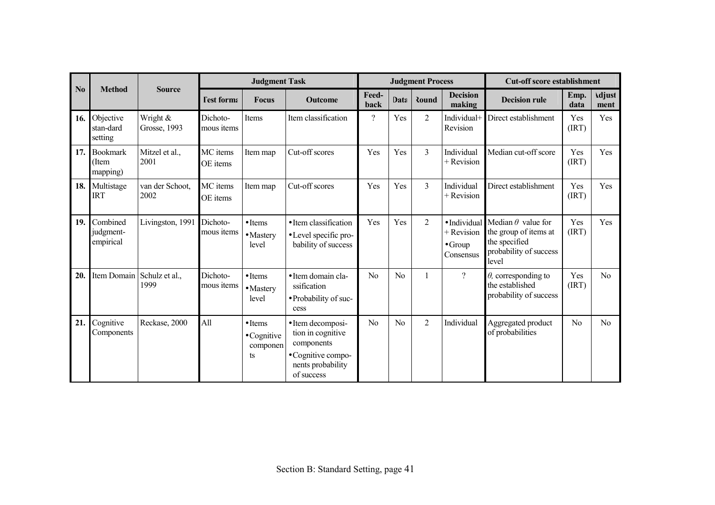|                |                                      |                          |                                                     | <b>Judgment Task</b>                                     |                                                                                                               |          |       | <b>Judgment Process</b>   |                                                              | <b>Cut-off score establishment</b>                                                                     |                       |     |
|----------------|--------------------------------------|--------------------------|-----------------------------------------------------|----------------------------------------------------------|---------------------------------------------------------------------------------------------------------------|----------|-------|---------------------------|--------------------------------------------------------------|--------------------------------------------------------------------------------------------------------|-----------------------|-----|
| N <sub>0</sub> | <b>Method</b>                        | <b>Source</b>            | <b>Test forma</b><br><b>Focus</b><br><b>Outcome</b> |                                                          | Feed-<br>back                                                                                                 | Data     | Round | <b>Decision</b><br>making | <b>Decision rule</b>                                         | Emp.<br>data                                                                                           | <b>Adjust</b><br>ment |     |
| 16.            | Objective<br>stan-dard<br>setting    | Wright &<br>Grosse, 1993 | Dichoto-<br>mous items                              | <b>Items</b>                                             | Item classification                                                                                           | $\gamma$ | Yes   | $\overline{2}$            | Individual+<br>Revision                                      | Direct establishment                                                                                   | Yes<br>(IRT)          | Yes |
| 17.            | <b>Bookmark</b><br>(Item<br>mapping) | Mitzel et al.,<br>2001   | MC items<br>OE items                                | Item map                                                 | Cut-off scores                                                                                                | Yes      | Yes   | $\overline{3}$            | Individual<br>+ Revision                                     | Median cut-off score                                                                                   | Yes<br>(IRT)          | Yes |
| 18.            | Multistage<br><b>IRT</b>             | van der Schoot,<br>2002  | MC items<br>OE items                                | Item map                                                 | Cut-off scores                                                                                                | Yes      | Yes   | $\overline{3}$            | Individual<br>$+$ Revision                                   | Direct establishment                                                                                   | Yes<br>(IRT)          | Yes |
| 19.            | Combined<br>judgment-<br>empirical   | Livingston, 1991         | Dichoto-<br>mous <i>items</i>                       | $\bullet$ Items<br>$\bullet$ Mastery<br>level            | • Item classification<br>• Level specific pro-<br>bability of success                                         | Yes      | Yes   | $\overline{2}$            | · Individual<br>$+$ Revision<br>$\bullet$ Group<br>Consensus | Median $\theta$ value for<br>the group of items at<br>the specified<br>probability of success<br>level | Yes<br>(IRT)          | Yes |
| 20.            | Item Domain                          | Schulz et al.,<br>1999   | Dichoto-<br>mous <i>items</i>                       | $\bullet$ Items<br>$\bullet$ Mastery<br>level            | • Item domain cla-<br>ssification<br>• Probability of suc-<br>cess                                            | No       | No    |                           | $\gamma$                                                     | $\theta$ , corresponding to<br>the established<br>probability of success                               | Yes<br>(IRT)          | No  |
| 21.            | Cognitive<br>Components              | Reckase, 2000            | All                                                 | $\bullet$ Items<br>$\bullet$ Cognitive<br>componen<br>ts | • Item decomposi-<br>tion in cognitive<br>components<br>• Cognitive compo-<br>nents probability<br>of success | No       | No    | $\overline{2}$            | Individual                                                   | Aggregated product<br>of probabilities                                                                 | No                    | No  |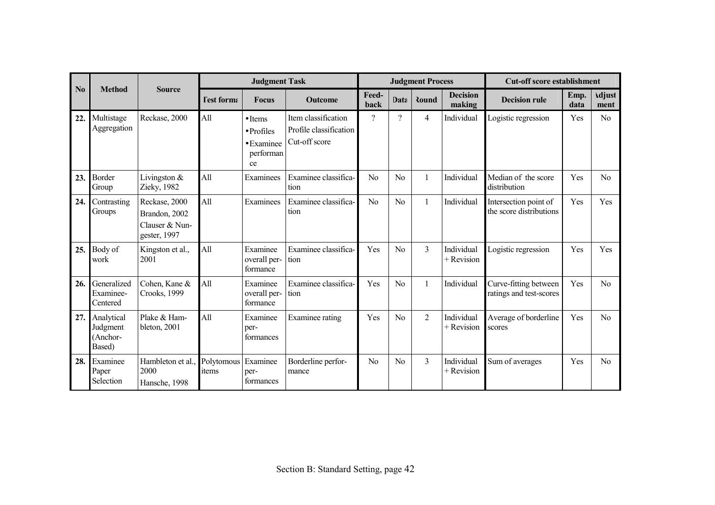| N <sub>0</sub> | <b>Method</b>                                    | <b>Source</b>                                                    | <b>Judgment Task</b> |                                                                                |                                                                | <b>Judgment Process</b> |                |                |                            | <b>Cut-off score establishment</b>               |              |                       |
|----------------|--------------------------------------------------|------------------------------------------------------------------|----------------------|--------------------------------------------------------------------------------|----------------------------------------------------------------|-------------------------|----------------|----------------|----------------------------|--------------------------------------------------|--------------|-----------------------|
|                |                                                  |                                                                  | <b>Fest forma</b>    | <b>Focus</b>                                                                   | <b>Outcome</b>                                                 | Feed-<br>back           | Data           | Round          | <b>Decision</b><br>making  | <b>Decision rule</b>                             | Emp.<br>data | <b>Adjust</b><br>ment |
| 22.            | Multistage<br>Aggregation                        | Reckase, 2000                                                    | All                  | $\bullet$ Items<br>$\bullet$ Profiles<br>$\bullet$ Examinee<br>performan<br>ce | Item classification<br>Profile classification<br>Cut-off score | $\gamma$                | $\gamma$       | $\overline{4}$ | Individual                 | Logistic regression                              | Yes          | No                    |
| 23.            | <b>Border</b><br>Group                           | Livingston &<br>Zieky, 1982                                      | All                  | Examinees                                                                      | Examinee classifica-<br>tion                                   | N <sub>0</sub>          | No             |                | Individual                 | Median of the score<br>distribution              | Yes          | No                    |
| 24.            | Contrasting<br>Groups                            | Reckase, 2000<br>Brandon, 2002<br>Clauser & Nun-<br>gester, 1997 | All                  | Examinees                                                                      | Examinee classifica-<br>tion                                   | No                      | N <sub>0</sub> | $\mathbf{1}$   | Individual                 | Intersection point of<br>the score distributions | Yes          | Yes                   |
| 25.            | Body of<br>work                                  | Kingston et al.,<br>2001                                         | All                  | Examinee<br>overall per-<br>formance                                           | Examinee classifica-<br>tion                                   | Yes                     | No             | $\overline{3}$ | Individual<br>+ Revision   | Logistic regression                              | Yes          | Yes                   |
| 26.            | Generalized<br>Examinee-<br>Centered             | Cohen, Kane &<br>Crooks, 1999                                    | All                  | Examinee<br>overall per-<br>formance                                           | Examinee classifica-<br>tion                                   | Yes                     | No             |                | Individual                 | Curve-fitting between<br>ratings and test-scores | Yes          | No                    |
|                | 27. Analytical<br>Judgment<br>(Anchor-<br>Based) | Plake & Ham-<br>bleton, 2001                                     | All                  | Examinee<br>per-<br>formances                                                  | Examinee rating                                                | Yes                     | N <sub>0</sub> | $\overline{2}$ | Individual<br>$+$ Revision | Average of borderline<br>scores                  | Yes          | N <sub>o</sub>        |
| 28.            | Examinee<br>Paper<br>Selection                   | Hambleton et al.<br>2000<br>Hansche, 1998                        | Polytomous<br>items  | Examinee<br>per-<br>formances                                                  | Borderline perfor-<br>mance                                    | N <sub>0</sub>          | N <sub>0</sub> | $\overline{3}$ | Individual<br>+ Revision   | Sum of averages                                  | Yes          | N <sub>0</sub>        |